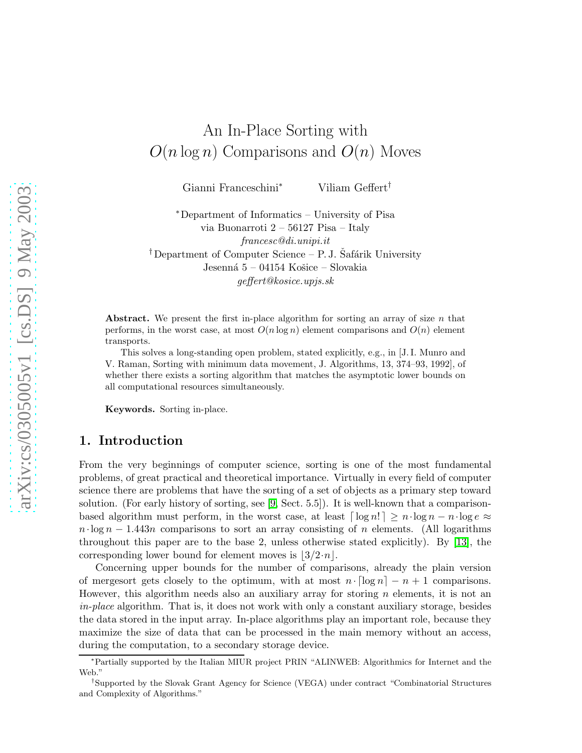# An In-Place Sorting with  $O(n \log n)$  Comparisons and  $O(n)$  Moves

Gianni Franceschini<sup>∗</sup> Viliam Geffert†

<sup>∗</sup>Department of Informatics – University of Pisa via Buonarroti 2 – 56127 Pisa – Italy francesc@di.unipi.it <sup>†</sup>Department of Computer Science – P. J. Šafárik University Jesenná 5 – 04154 Košice – Slovakia geffert@kosice.upjs.sk

Abstract. We present the first in-place algorithm for sorting an array of size  $n$  that performs, in the worst case, at most  $O(n \log n)$  element comparisons and  $O(n)$  element transports.

This solves a long-standing open problem, stated explicitly, e.g., in [J. I. Munro and V. Raman, Sorting with minimum data movement, J. Algorithms, 13, 374–93, 1992], of whether there exists a sorting algorithm that matches the asymptotic lower bounds on all computational resources simultaneously.

Keywords. Sorting in-place.

## 1. Introduction

From the very beginnings of computer science, sorting is one of the most fundamental problems, of great practical and theoretical importance. Virtually in every field of computer science there are problems that have the sorting of a set of objects as a primary step toward solution. (For early history of sorting, see [\[9,](#page-21-0) Sect. 5.5]). It is well-known that a comparisonbased algorithm must perform, in the worst case, at least  $\lceil \log n \rceil \geq n \cdot \log n - n \cdot \log e \approx$  $n \cdot \log n - 1.443n$  comparisons to sort an array consisting of n elements. (All logarithms throughout this paper are to the base 2, unless otherwise stated explicitly). By [\[13\]](#page-21-1), the corresponding lower bound for element moves is  $|3/2 \cdot n|$ .

Concerning upper bounds for the number of comparisons, already the plain version of mergesort gets closely to the optimum, with at most  $n \cdot \lceil \log n \rceil - n + 1$  comparisons. However, this algorithm needs also an auxiliary array for storing  $n$  elements, it is not an in-place algorithm. That is, it does not work with only a constant auxiliary storage, besides the data stored in the input array. In-place algorithms play an important role, because they maximize the size of data that can be processed in the main memory without an access, during the computation, to a secondary storage device.

<sup>∗</sup>Partially supported by the Italian MIUR project PRIN "ALINWEB: Algorithmics for Internet and the Web."

<sup>†</sup> Supported by the Slovak Grant Agency for Science (VEGA) under contract "Combinatorial Structures and Complexity of Algorithms."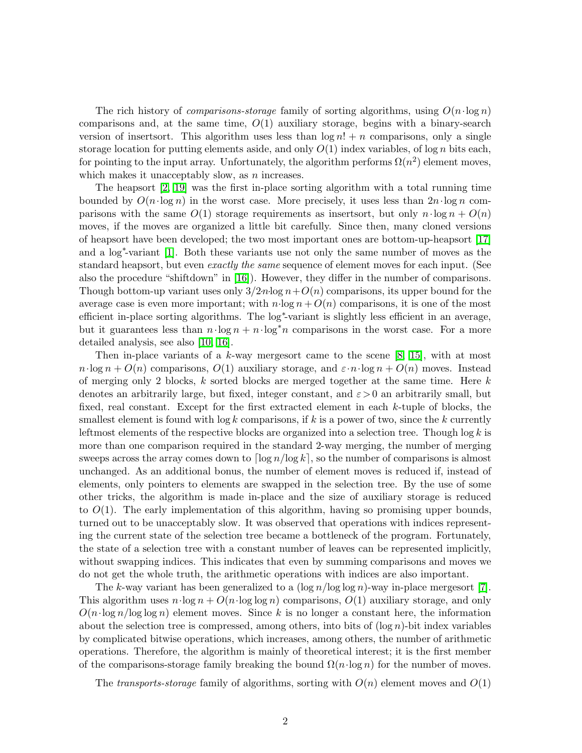The rich history of *comparisons-storage* family of sorting algorithms, using  $O(n \cdot \log n)$ comparisons and, at the same time,  $O(1)$  auxiliary storage, begins with a binary-search version of insertsort. This algorithm uses less than  $\log n! + n$  comparisons, only a single storage location for putting elements aside, and only  $O(1)$  index variables, of log n bits each, for pointing to the input array. Unfortunately, the algorithm performs  $\Omega(n^2)$  element moves, which makes it unacceptably slow, as  $n$  increases.

The heapsort [\[2,](#page-20-0) [19\]](#page-21-2) was the first in-place sorting algorithm with a total running time bounded by  $O(n \cdot \log n)$  in the worst case. More precisely, it uses less than  $2n \cdot \log n$  comparisons with the same  $O(1)$  storage requirements as insertsort, but only  $n \cdot \log n + O(n)$ moves, if the moves are organized a little bit carefully. Since then, many cloned versions of heapsort have been developed; the two most important ones are bottom-up-heapsort [\[17\]](#page-21-3) and a log<sup>∗</sup> -variant [\[1\]](#page-20-1). Both these variants use not only the same number of moves as the standard heapsort, but even *exactly the same* sequence of element moves for each input. (See also the procedure "shiftdown" in [\[16\]](#page-21-4)). However, they differ in the number of comparisons. Though bottom-up variant uses only  $3/2n\log n+O(n)$  comparisons, its upper bound for the average case is even more important; with  $n \cdot \log n + O(n)$  comparisons, it is one of the most efficient in-place sorting algorithms. The log<sup>\*</sup>-variant is slightly less efficient in an average, but it guarantees less than  $n \cdot \log n + n \cdot \log^* n$  comparisons in the worst case. For a more detailed analysis, see also [\[10,](#page-21-5) [16\]](#page-21-4).

Then in-place variants of a  $k$ -way mergesort came to the scene [\[8,](#page-21-6) [15\]](#page-21-7), with at most  $n \cdot \log n + O(n)$  comparisons,  $O(1)$  auxiliary storage, and  $\varepsilon \cdot n \cdot \log n + O(n)$  moves. Instead of merging only 2 blocks,  $k$  sorted blocks are merged together at the same time. Here  $k$ denotes an arbitrarily large, but fixed, integer constant, and  $\varepsilon > 0$  an arbitrarily small, but fixed, real constant. Except for the first extracted element in each k-tuple of blocks, the smallest element is found with  $\log k$  comparisons, if k is a power of two, since the k currently leftmost elements of the respective blocks are organized into a selection tree. Though  $\log k$  is more than one comparison required in the standard 2-way merging, the number of merging sweeps across the array comes down to  $\lceil \log n / \log k \rceil$ , so the number of comparisons is almost unchanged. As an additional bonus, the number of element moves is reduced if, instead of elements, only pointers to elements are swapped in the selection tree. By the use of some other tricks, the algorithm is made in-place and the size of auxiliary storage is reduced to  $O(1)$ . The early implementation of this algorithm, having so promising upper bounds, turned out to be unacceptably slow. It was observed that operations with indices representing the current state of the selection tree became a bottleneck of the program. Fortunately, the state of a selection tree with a constant number of leaves can be represented implicitly, without swapping indices. This indicates that even by summing comparisons and moves we do not get the whole truth, the arithmetic operations with indices are also important.

The k-way variant has been generalized to a  $(\log n / \log \log n)$ -way in-place mergesort [\[7\]](#page-21-8). This algorithm uses  $n \cdot \log n + O(n \cdot \log \log n)$  comparisons,  $O(1)$  auxiliary storage, and only  $O(n \cdot \log n / \log \log n)$  element moves. Since k is no longer a constant here, the information about the selection tree is compressed, among others, into bits of  $(\log n)$ -bit index variables by complicated bitwise operations, which increases, among others, the number of arithmetic operations. Therefore, the algorithm is mainly of theoretical interest; it is the first member of the comparisons-storage family breaking the bound  $\Omega(n \cdot \log n)$  for the number of moves.

The transports-storage family of algorithms, sorting with  $O(n)$  element moves and  $O(1)$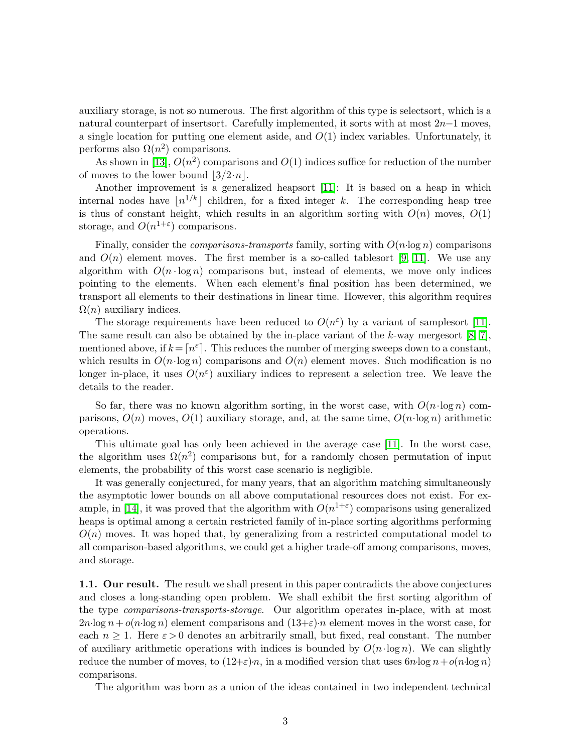auxiliary storage, is not so numerous. The first algorithm of this type is selectsort, which is a natural counterpart of insertsort. Carefully implemented, it sorts with at most 2n−1 moves, a single location for putting one element aside, and  $O(1)$  index variables. Unfortunately, it performs also  $\Omega(n^2)$  comparisons.

As shown in [\[13\]](#page-21-1),  $O(n^2)$  comparisons and  $O(1)$  indices suffice for reduction of the number of moves to the lower bound  $|3/2 \cdot n|$ .

Another improvement is a generalized heapsort [\[11\]](#page-21-9): It is based on a heap in which internal nodes have  $\lfloor n^{1/k} \rfloor$  children, for a fixed integer k. The corresponding heap tree is thus of constant height, which results in an algorithm sorting with  $O(n)$  moves,  $O(1)$ storage, and  $O(n^{1+\varepsilon})$  comparisons.

Finally, consider the *comparisons-transports* family, sorting with  $O(n \log n)$  comparisons and  $O(n)$  element moves. The first member is a so-called tablesort [\[9,](#page-21-0) [11\]](#page-21-9). We use any algorithm with  $O(n \cdot \log n)$  comparisons but, instead of elements, we move only indices pointing to the elements. When each element's final position has been determined, we transport all elements to their destinations in linear time. However, this algorithm requires  $\Omega(n)$  auxiliary indices.

The storage requirements have been reduced to  $O(n^{\epsilon})$  by a variant of samplesort [\[11\]](#page-21-9). The same result can also be obtained by the in-place variant of the k-way mergesort  $[8, 7]$  $[8, 7]$ , mentioned above, if  $k = \lceil n^{\varepsilon} \rceil$ . This reduces the number of merging sweeps down to a constant, which results in  $O(n \cdot \log n)$  comparisons and  $O(n)$  element moves. Such modification is no longer in-place, it uses  $O(n^{\epsilon})$  auxiliary indices to represent a selection tree. We leave the details to the reader.

So far, there was no known algorithm sorting, in the worst case, with  $O(n \cdot \log n)$  comparisons,  $O(n)$  moves,  $O(1)$  auxiliary storage, and, at the same time,  $O(n \log n)$  arithmetic operations.

This ultimate goal has only been achieved in the average case [\[11\]](#page-21-9). In the worst case, the algorithm uses  $\Omega(n^2)$  comparisons but, for a randomly chosen permutation of input elements, the probability of this worst case scenario is negligible.

It was generally conjectured, for many years, that an algorithm matching simultaneously the asymptotic lower bounds on all above computational resources does not exist. For ex-ample, in [\[14\]](#page-21-10), it was proved that the algorithm with  $O(n^{1+\epsilon})$  comparisons using generalized heaps is optimal among a certain restricted family of in-place sorting algorithms performing  $O(n)$  moves. It was hoped that, by generalizing from a restricted computational model to all comparison-based algorithms, we could get a higher trade-off among comparisons, moves, and storage.

1.1. Our result. The result we shall present in this paper contradicts the above conjectures and closes a long-standing open problem. We shall exhibit the first sorting algorithm of the type comparisons-transports-storage. Our algorithm operates in-place, with at most  $2n\log n + o(n\log n)$  element comparisons and  $(13+\varepsilon)n$  element moves in the worst case, for each  $n \geq 1$ . Here  $\varepsilon > 0$  denotes an arbitrarily small, but fixed, real constant. The number of auxiliary arithmetic operations with indices is bounded by  $O(n \cdot \log n)$ . We can slightly reduce the number of moves, to  $(12+\epsilon)n$ , in a modified version that uses  $6n\log n + o(n\log n)$ comparisons.

The algorithm was born as a union of the ideas contained in two independent technical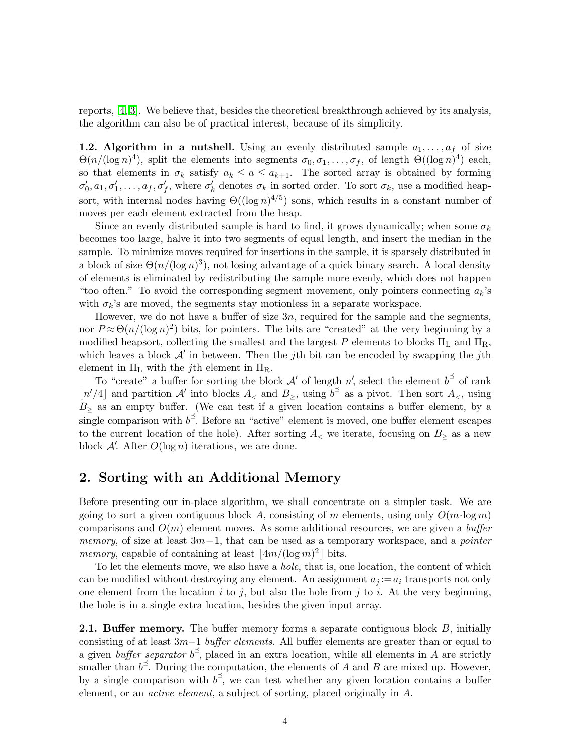reports, [\[4,](#page-21-11) [3\]](#page-20-2). We believe that, besides the theoretical breakthrough achieved by its analysis, the algorithm can also be of practical interest, because of its simplicity.

**1.2. Algorithm in a nutshell.** Using an evenly distributed sample  $a_1, \ldots, a_f$  of size  $\Theta(n/(\log n)^4)$ , split the elements into segments  $\sigma_0, \sigma_1, \ldots, \sigma_f$ , of length  $\Theta((\log n)^4)$  each, so that elements in  $\sigma_k$  satisfy  $a_k \le a \le a_{k+1}$ . The sorted array is obtained by forming  $\sigma'_0, a_1, \sigma'_1, \ldots, a_f, \sigma'_f$ , where  $\sigma'_k$  denotes  $\sigma_k$  in sorted order. To sort  $\sigma_k$ , use a modified heapsort, with internal nodes having  $\Theta((\log n)^{4/5})$  sons, which results in a constant number of moves per each element extracted from the heap.

Since an evenly distributed sample is hard to find, it grows dynamically; when some  $\sigma_k$ becomes too large, halve it into two segments of equal length, and insert the median in the sample. To minimize moves required for insertions in the sample, it is sparsely distributed in a block of size  $\Theta(n/(\log n)^3)$ , not losing advantage of a quick binary search. A local density of elements is eliminated by redistributing the sample more evenly, which does not happen "too often." To avoid the corresponding segment movement, only pointers connecting  $a_k$ 's with  $\sigma_k$ 's are moved, the segments stay motionless in a separate workspace.

However, we do not have a buffer of size 3n, required for the sample and the segments, nor  $P \approx \Theta(n/(\log n)^2)$  bits, for pointers. The bits are "created" at the very beginning by a modified heapsort, collecting the smallest and the largest P elements to blocks  $\Pi_L$  and  $\Pi_R$ , which leaves a block  $\mathcal{A}'$  in between. Then the jth bit can be encoded by swapping the jth element in  $\Pi_L$  with the *j*th element in  $\Pi_R$ .

To "create" a buffer for sorting the block  $\mathcal{A}'$  of length n', select the element  $b^{\preceq}$  of rank  $\lfloor n'/4 \rfloor$  and partition A' into blocks  $A_{\leq}$  and  $B_{\geq}$ , using  $b^{\preceq}$  as a pivot. Then sort  $A_{\leq}$ , using  $B<sub>></sub>$  as an empty buffer. (We can test if a given location contains a buffer element, by a single comparison with  $b^{\preceq}$ . Before an "active" element is moved, one buffer element escapes to the current location of the hole). After sorting  $A_{\leq}$  we iterate, focusing on  $B_{\geq}$  as a new block  $\mathcal{A}'$ . After  $O(\log n)$  iterations, we are done.

## <span id="page-3-0"></span>2. Sorting with an Additional Memory

Before presenting our in-place algorithm, we shall concentrate on a simpler task. We are going to sort a given contiguous block A, consisting of m elements, using only  $O(m \cdot \log m)$ comparisons and  $O(m)$  element moves. As some additional resources, we are given a buffer memory, of size at least  $3m-1$ , that can be used as a temporary workspace, and a *pointer* memory, capable of containing at least  $\lfloor 4m/(\log m)^2 \rfloor$  bits.

To let the elements move, we also have a hole, that is, one location, the content of which can be modified without destroying any element. An assignment  $a_j := a_i$  transports not only one element from the location  $i$  to  $j$ , but also the hole from  $j$  to  $i$ . At the very beginning, the hole is in a single extra location, besides the given input array.

**2.1. Buffer memory.** The buffer memory forms a separate contiguous block B, initially consisting of at least  $3m-1$  *buffer elements*. All buffer elements are greater than or equal to a given *buffer separator*  $b^{\preceq}$ , placed in an extra location, while all elements in A are strictly smaller than  $b^{\leq}$ . During the computation, the elements of A and B are mixed up. However, by a single comparison with  $b^{\le}$ , we can test whether any given location contains a buffer element, or an active element, a subject of sorting, placed originally in A.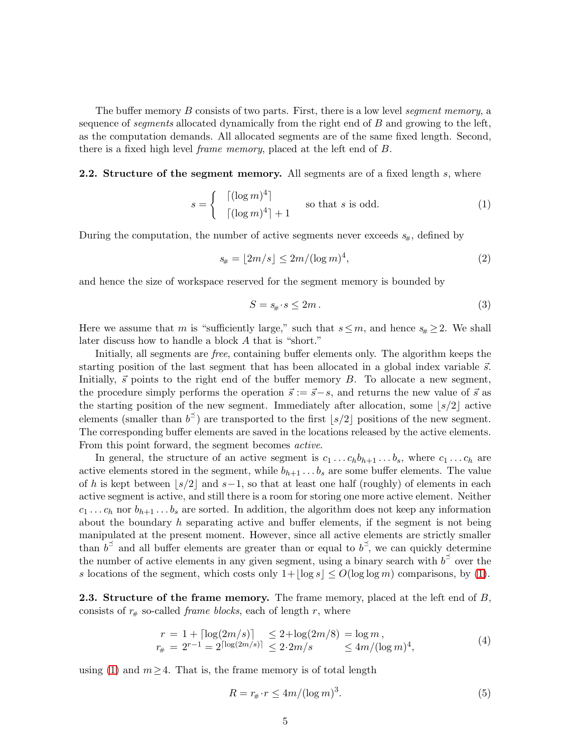The buffer memory B consists of two parts. First, there is a low level *seqment memory*, a sequence of *segments* allocated dynamically from the right end of  $B$  and growing to the left, as the computation demands. All allocated segments are of the same fixed length. Second, there is a fixed high level frame memory, placed at the left end of B.

#### <span id="page-4-0"></span>**2.2.** Structure of the segment memory. All segments are of a fixed length s, where

<span id="page-4-2"></span>
$$
s = \begin{cases} \lceil (\log m)^4 \rceil \\ \lceil (\log m)^4 \rceil + 1 \end{cases}
$$
 so that *s* is odd. (1)

During the computation, the number of active segments never exceeds  $s_{\#}$ , defined by

<span id="page-4-1"></span>
$$
s_{\#} = \lfloor 2m/s \rfloor \le 2m/(\log m)^4,\tag{2}
$$

and hence the size of workspace reserved for the segment memory is bounded by

$$
S = s_{\#} \cdot s \le 2m. \tag{3}
$$

Here we assume that m is "sufficiently large," such that  $s \leq m$ , and hence  $s_{\#} \geq 2$ . We shall later discuss how to handle a block A that is "short."

Initially, all segments are free, containing buffer elements only. The algorithm keeps the starting position of the last segment that has been allocated in a global index variable  $\vec{s}$ . Initially,  $\vec{s}$  points to the right end of the buffer memory B. To allocate a new segment, the procedure simply performs the operation  $\vec{s} := \vec{s} - s$ , and returns the new value of  $\vec{s}$  as the starting position of the new segment. Immediately after allocation, some  $|s/2|$  active elements (smaller than  $b^{\preceq}$ ) are transported to the first [s/2] positions of the new segment. The corresponding buffer elements are saved in the locations released by the active elements. From this point forward, the segment becomes active.

In general, the structure of an active segment is  $c_1 \ldots c_h b_{h+1} \ldots b_s$ , where  $c_1 \ldots c_h$  are active elements stored in the segment, while  $b_{h+1} \ldots b_s$  are some buffer elements. The value of h is kept between  $|s/2|$  and  $s-1$ , so that at least one half (roughly) of elements in each active segment is active, and still there is a room for storing one more active element. Neither  $c_1 \ldots c_h$  nor  $b_{h+1} \ldots b_s$  are sorted. In addition, the algorithm does not keep any information about the boundary  $h$  separating active and buffer elements, if the segment is not being manipulated at the present moment. However, since all active elements are strictly smaller than  $b^{\leq}$  and all buffer elements are greater than or equal to  $b^{\leq}$ , we can quickly determine the number of active elements in any given segment, using a binary search with  $b^2$  over the s locations of the segment, which costs only  $1+|\log s| \le O(\log \log m)$  comparisons, by [\(1\)](#page-4-0).

<span id="page-4-3"></span>**2.3.** Structure of the frame memory. The frame memory, placed at the left end of  $B$ , consists of  $r_{\#}$  so-called *frame blocks*, each of length r, where

<span id="page-4-4"></span>
$$
r = 1 + \lceil \log(2m/s) \rceil \le 2 + \log(2m/8) = \log m,
$$
  
\n
$$
r_{\#} = 2^{r-1} = 2^{\lceil \log(2m/s) \rceil} \le 2 \cdot 2m/s \le 4m/(\log m)^4,
$$
\n(4)

using [\(1\)](#page-4-0) and  $m \geq 4$ . That is, the frame memory is of total length

$$
R = r_{\#} \cdot r \le 4m/(\log m)^3. \tag{5}
$$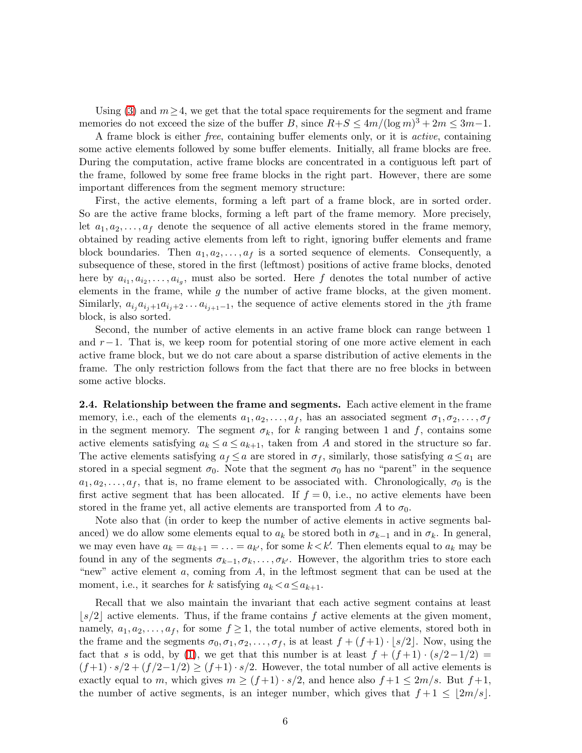Using [\(3\)](#page-4-1) and  $m \geq 4$ , we get that the total space requirements for the segment and frame memories do not exceed the size of the buffer B, since  $R+S \leq 4m/(\log m)^3 + 2m \leq 3m-1$ .

A frame block is either free, containing buffer elements only, or it is active, containing some active elements followed by some buffer elements. Initially, all frame blocks are free. During the computation, active frame blocks are concentrated in a contiguous left part of the frame, followed by some free frame blocks in the right part. However, there are some important differences from the segment memory structure:

First, the active elements, forming a left part of a frame block, are in sorted order. So are the active frame blocks, forming a left part of the frame memory. More precisely, let  $a_1, a_2, \ldots, a_f$  denote the sequence of all active elements stored in the frame memory, obtained by reading active elements from left to right, ignoring buffer elements and frame block boundaries. Then  $a_1, a_2, \ldots, a_f$  is a sorted sequence of elements. Consequently, a subsequence of these, stored in the first (leftmost) positions of active frame blocks, denoted here by  $a_{i_1}, a_{i_2}, \ldots, a_{i_g}$ , must also be sorted. Here f denotes the total number of active elements in the frame, while  $g$  the number of active frame blocks, at the given moment. Similarly,  $a_{i_j}a_{i_j+1}a_{i_j+2}\ldots a_{i_{j+1}-1}$ , the sequence of active elements stored in the j<sup>th</sup> frame block, is also sorted.

Second, the number of active elements in an active frame block can range between 1 and  $r-1$ . That is, we keep room for potential storing of one more active element in each active frame block, but we do not care about a sparse distribution of active elements in the frame. The only restriction follows from the fact that there are no free blocks in between some active blocks.

2.4. Relationship between the frame and segments. Each active element in the frame memory, i.e., each of the elements  $a_1, a_2, \ldots, a_f$ , has an associated segment  $\sigma_1, \sigma_2, \ldots, \sigma_f$ in the segment memory. The segment  $\sigma_k$ , for k ranging between 1 and f, contains some active elements satisfying  $a_k \le a \le a_{k+1}$ , taken from A and stored in the structure so far. The active elements satisfying  $a_f \leq a$  are stored in  $\sigma_f$ , similarly, those satisfying  $a \leq a_1$  are stored in a special segment  $\sigma_0$ . Note that the segment  $\sigma_0$  has no "parent" in the sequence  $a_1, a_2, \ldots, a_f$ , that is, no frame element to be associated with. Chronologically,  $\sigma_0$  is the first active segment that has been allocated. If  $f = 0$ , i.e., no active elements have been stored in the frame yet, all active elements are transported from A to  $\sigma_0$ .

Note also that (in order to keep the number of active elements in active segments balanced) we do allow some elements equal to  $a_k$  be stored both in  $\sigma_{k-1}$  and in  $\sigma_k$ . In general, we may even have  $a_k = a_{k+1} = \ldots = a_{k'}$ , for some  $k \lt k'$ . Then elements equal to  $a_k$  may be found in any of the segments  $\sigma_{k-1}, \sigma_k, \ldots, \sigma_{k'}$ . However, the algorithm tries to store each "new" active element  $a$ , coming from  $A$ , in the leftmost segment that can be used at the moment, i.e., it searches for k satisfying  $a_k < a \le a_{k+1}$ .

Recall that we also maintain the invariant that each active segment contains at least  $\lfloor s/2 \rfloor$  active elements. Thus, if the frame contains f active elements at the given moment, namely,  $a_1, a_2, \ldots, a_f$ , for some  $f \ge 1$ , the total number of active elements, stored both in the frame and the segments  $\sigma_0, \sigma_1, \sigma_2, \ldots, \sigma_f$ , is at least  $f + (f+1) \cdot \lfloor s/2 \rfloor$ . Now, using the fact that s is odd, by [\(1\)](#page-4-0), we get that this number is at least  $f + (f+1) \cdot (s/2-1/2) =$  $(f+1) \cdot s/2 + (f/2-1/2) \ge (f+1) \cdot s/2$ . However, the total number of all active elements is exactly equal to m, which gives  $m \ge (f+1) \cdot s/2$ , and hence also  $f+1 \le 2m/s$ . But  $f+1$ , the number of active segments, is an integer number, which gives that  $f+1 \leq \lfloor 2m/s \rfloor$ .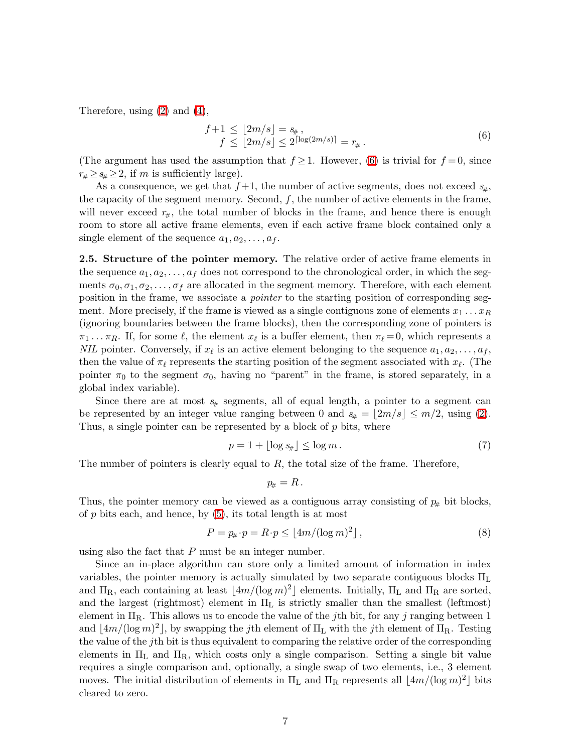<span id="page-6-0"></span>Therefore, using [\(2\)](#page-4-2) and [\(4\)](#page-4-3),

$$
f+1 \leq \lfloor 2m/s \rfloor = s_{\#},
$$
  
\n
$$
f \leq \lfloor 2m/s \rfloor \leq 2^{\lceil \log(2m/s) \rceil} = r_{\#}.
$$
\n(6)

(The argument has used the assumption that  $f \geq 1$ . However, [\(6\)](#page-6-0) is trivial for  $f = 0$ , since  $r_{\#} \geq s_{\#} \geq 2$ , if m is sufficiently large).

As a consequence, we get that  $f+1$ , the number of active segments, does not exceed  $s_{\#}$ , the capacity of the segment memory. Second,  $f$ , the number of active elements in the frame, will never exceed  $r_{\#}$ , the total number of blocks in the frame, and hence there is enough room to store all active frame elements, even if each active frame block contained only a single element of the sequence  $a_1, a_2, \ldots, a_f$ .

2.5. Structure of the pointer memory. The relative order of active frame elements in the sequence  $a_1, a_2, \ldots, a_f$  does not correspond to the chronological order, in which the segments  $\sigma_0, \sigma_1, \sigma_2, \ldots, \sigma_f$  are allocated in the segment memory. Therefore, with each element position in the frame, we associate a pointer to the starting position of corresponding segment. More precisely, if the frame is viewed as a single contiguous zone of elements  $x_1 \ldots x_R$ (ignoring boundaries between the frame blocks), then the corresponding zone of pointers is  $\pi_1 \dots \pi_R$ . If, for some  $\ell$ , the element  $x_{\ell}$  is a buffer element, then  $\pi_{\ell} = 0$ , which represents a NIL pointer. Conversely, if  $x_{\ell}$  is an active element belonging to the sequence  $a_1, a_2, \ldots, a_f$ , then the value of  $\pi_{\ell}$  represents the starting position of the segment associated with  $x_{\ell}$ . (The pointer  $\pi_0$  to the segment  $\sigma_0$ , having no "parent" in the frame, is stored separately, in a global index variable).

Since there are at most  $s_{\#}$  segments, all of equal length, a pointer to a segment can be represented by an integer value ranging between 0 and  $s_{\#} = |2m/s| \le m/2$ , using [\(2\)](#page-4-2). Thus, a single pointer can be represented by a block of  $p$  bits, where

<span id="page-6-1"></span>
$$
p = 1 + \lfloor \log s_{\#} \rfloor \le \log m. \tag{7}
$$

The number of pointers is clearly equal to  $R$ , the total size of the frame. Therefore,

$$
p_{\!\scriptscriptstyle\#}=R\,.
$$

<span id="page-6-2"></span>Thus, the pointer memory can be viewed as a contiguous array consisting of  $p_{\#}$  bit blocks, of  $p$  bits each, and hence, by  $(5)$ , its total length is at most

$$
P = p_{\#} \cdot p = R \cdot p \le \lfloor 4m/(\log m)^2 \rfloor, \tag{8}
$$

using also the fact that  $P$  must be an integer number.

Since an in-place algorithm can store only a limited amount of information in index variables, the pointer memory is actually simulated by two separate contiguous blocks  $\Pi_L$ and  $\Pi_R$ , each containing at least  $\lfloor 4m/(\log m)^2 \rfloor$  elements. Initially,  $\Pi_L$  and  $\Pi_R$  are sorted, and the largest (rightmost) element in  $\Pi_L$  is strictly smaller than the smallest (leftmost) element in  $\Pi_R$ . This allows us to encode the value of the jth bit, for any j ranging between 1 and  $\lfloor 4m/(\log m)^2 \rfloor$ , by swapping the *j*th element of  $\Pi_L$  with the *j*th element of  $\Pi_R$ . Testing the value of the jth bit is thus equivalent to comparing the relative order of the corresponding elements in  $\Pi_L$  and  $\Pi_R$ , which costs only a single comparison. Setting a single bit value requires a single comparison and, optionally, a single swap of two elements, i.e., 3 element moves. The initial distribution of elements in  $\Pi_L$  and  $\Pi_R$  represents all  $\lfloor 4m/(\log m)^2 \rfloor$  bits cleared to zero.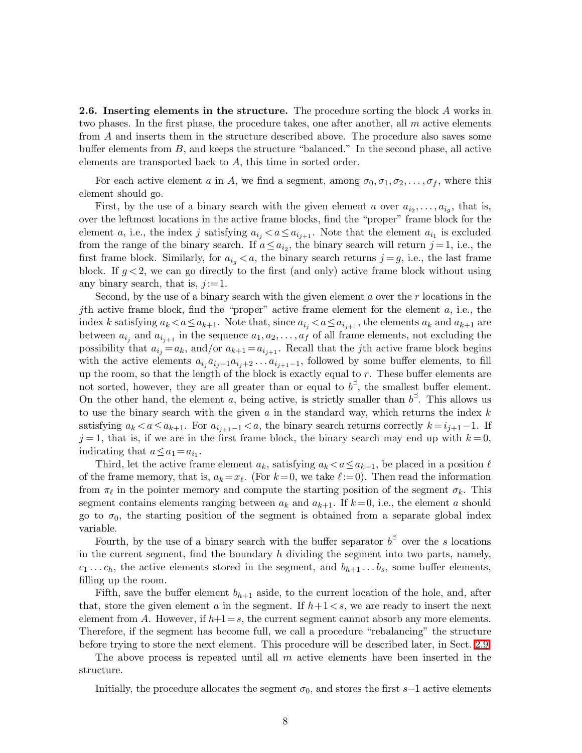<span id="page-7-0"></span>2.6. Inserting elements in the structure. The procedure sorting the block A works in two phases. In the first phase, the procedure takes, one after another, all  $m$  active elements from A and inserts them in the structure described above. The procedure also saves some buffer elements from  $B$ , and keeps the structure "balanced." In the second phase, all active elements are transported back to A, this time in sorted order.

For each active element a in A, we find a segment, among  $\sigma_0, \sigma_1, \sigma_2, \ldots, \sigma_f$ , where this element should go.

First, by the use of a binary search with the given element a over  $a_{i_2}, \ldots, a_{i_g}$ , that is, over the leftmost locations in the active frame blocks, find the "proper" frame block for the element a, i.e., the index j satisfying  $a_{i_j} < a \le a_{i_{j+1}}$ . Note that the element  $a_{i_1}$  is excluded from the range of the binary search. If  $a \leq a_{i_2}$ , the binary search will return  $j = 1$ , i.e., the first frame block. Similarly, for  $a_{i_q} < a$ , the binary search returns  $j = g$ , i.e., the last frame block. If  $g < 2$ , we can go directly to the first (and only) active frame block without using any binary search, that is,  $j := 1$ .

Second, by the use of a binary search with the given element  $a$  over the  $r$  locations in the *j*th active frame block, find the "proper" active frame element for the element  $a$ , i.e., the index k satisfying  $a_k < a \le a_{k+1}$ . Note that, since  $a_{i_j} < a \le a_{i_{j+1}}$ , the elements  $a_k$  and  $a_{k+1}$  are between  $a_{i_j}$  and  $a_{i_{j+1}}$  in the sequence  $a_1, a_2, \ldots, a_f$  of all frame elements, not excluding the possibility that  $a_{i_j} = a_k$ , and/or  $a_{k+1} = a_{i_{j+1}}$ . Recall that the *j*th active frame block begins with the active elements  $a_{i_j}a_{i_j+1}a_{i_j+2}\ldots a_{i_{j+1}-1}$ , followed by some buffer elements, to fill up the room, so that the length of the block is exactly equal to  $r$ . These buffer elements are not sorted, however, they are all greater than or equal to  $b^2$ , the smallest buffer element. On the other hand, the element a, being active, is strictly smaller than  $b^{\le}$ . This allows us to use the binary search with the given  $a$  in the standard way, which returns the index  $k$ satisfying  $a_k < a \le a_{k+1}$ . For  $a_{i_{j+1}-1} < a$ , the binary search returns correctly  $k = i_{j+1}-1$ . If  $j = 1$ , that is, if we are in the first frame block, the binary search may end up with  $k = 0$ , indicating that  $a \le a_1 = a_{i_1}$ .

Third, let the active frame element  $a_k$ , satisfying  $a_k < a \le a_{k+1}$ , be placed in a position  $\ell$ of the frame memory, that is,  $a_k = x_\ell$ . (For  $k = 0$ , we take  $\ell := 0$ ). Then read the information from  $\pi_{\ell}$  in the pointer memory and compute the starting position of the segment  $\sigma_k$ . This segment contains elements ranging between  $a_k$  and  $a_{k+1}$ . If  $k=0$ , i.e., the element a should go to  $\sigma_0$ , the starting position of the segment is obtained from a separate global index variable.

Fourth, by the use of a binary search with the buffer separator  $b^{\leq}$  over the s locations in the current segment, find the boundary  $h$  dividing the segment into two parts, namely,  $c_1 \ldots c_h$ , the active elements stored in the segment, and  $b_{h+1} \ldots b_s$ , some buffer elements, filling up the room.

Fifth, save the buffer element  $b_{h+1}$  aside, to the current location of the hole, and, after that, store the given element a in the segment. If  $h+1\lt s$ , we are ready to insert the next element from A. However, if  $h+1=s$ , the current segment cannot absorb any more elements. Therefore, if the segment has become full, we call a procedure "rebalancing" the structure before trying to store the next element. This procedure will be described later, in Sect. [2.9.](#page-10-0)

The above process is repeated until all  $m$  active elements have been inserted in the structure.

Initially, the procedure allocates the segment  $\sigma_0$ , and stores the first s−1 active elements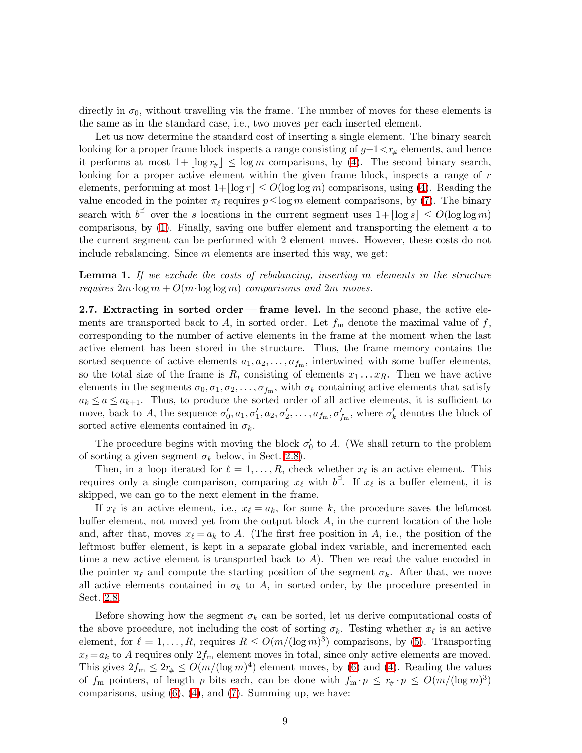directly in  $\sigma_0$ , without travelling via the frame. The number of moves for these elements is the same as in the standard case, i.e., two moves per each inserted element.

Let us now determine the standard cost of inserting a single element. The binary search looking for a proper frame block inspects a range consisting of  $g-1 < r_{\#}$  elements, and hence it performs at most  $1+|\log r_{\#}| \leq \log m$  comparisons, by [\(4\)](#page-4-3). The second binary search, looking for a proper active element within the given frame block, inspects a range of r elements, performing at most  $1+|\log r| \le O(\log \log m)$  comparisons, using [\(4\)](#page-4-3). Reading the value encoded in the pointer  $\pi_{\ell}$  requires  $p \le \log m$  element comparisons, by [\(7\)](#page-6-1). The binary search with  $b^{\leq}$  over the s locations in the current segment uses  $1+|\log s| \leq O(\log \log m)$ comparisons, by  $(1)$ . Finally, saving one buffer element and transporting the element a to the current segment can be performed with 2 element moves. However, these costs do not include rebalancing. Since  $m$  elements are inserted this way, we get:

<span id="page-8-0"></span>**Lemma 1.** If we exclude the costs of rebalancing, inserting m elements in the structure requires  $2m \cdot \log m + O(m \cdot \log \log m)$  comparisons and  $2m$  moves.

2.7. Extracting in sorted order— frame level. In the second phase, the active elements are transported back to A, in sorted order. Let  $f_m$  denote the maximal value of f, corresponding to the number of active elements in the frame at the moment when the last active element has been stored in the structure. Thus, the frame memory contains the sorted sequence of active elements  $a_1, a_2, \ldots, a_{f_m}$ , intertwined with some buffer elements, so the total size of the frame is R, consisting of elements  $x_1 \ldots x_R$ . Then we have active elements in the segments  $\sigma_0, \sigma_1, \sigma_2, \ldots, \sigma_{f_m}$ , with  $\sigma_k$  containing active elements that satisfy  $a_k \le a \le a_{k+1}$ . Thus, to produce the sorted order of all active elements, it is sufficient to move, back to A, the sequence  $\sigma'_0$ ,  $a_1$ ,  $\sigma'_1$ ,  $a_2$ ,  $\sigma'_2$ , ...,  $a_{f_m}$ ,  $\sigma'_{f_m}$ , where  $\sigma'_k$  denotes the block of sorted active elements contained in  $\sigma_k$ .

The procedure begins with moving the block  $\sigma'_{0}$  to A. (We shall return to the problem of sorting a given segment  $\sigma_k$  below, in Sect. [2.8\)](#page-9-0).

Then, in a loop iterated for  $\ell = 1, \ldots, R$ , check whether  $x_{\ell}$  is an active element. This requires only a single comparison, comparing  $x_{\ell}$  with  $b^{\preceq}$ . If  $x_{\ell}$  is a buffer element, it is skipped, we can go to the next element in the frame.

If  $x_{\ell}$  is an active element, i.e.,  $x_{\ell} = a_k$ , for some k, the procedure saves the leftmost buffer element, not moved yet from the output block A, in the current location of the hole and, after that, moves  $x_{\ell} = a_k$  to A. (The first free position in A, i.e., the position of the leftmost buffer element, is kept in a separate global index variable, and incremented each time a new active element is transported back to  $A$ ). Then we read the value encoded in the pointer  $\pi_{\ell}$  and compute the starting position of the segment  $\sigma_k$ . After that, we move all active elements contained in  $\sigma_k$  to A, in sorted order, by the procedure presented in Sect. [2.8.](#page-9-0)

Before showing how the segment  $\sigma_k$  can be sorted, let us derive computational costs of the above procedure, not including the cost of sorting  $\sigma_k$ . Testing whether  $x_{\ell}$  is an active element, for  $\ell = 1, ..., R$ , requires  $R \le O(m/(\log m)^3)$  comparisons, by [\(5\)](#page-4-4). Transporting  $x_{\ell} = a_k$  to A requires only  $2f_m$  element moves in total, since only active elements are moved. This gives  $2f_m \leq 2r_{\#} \leq O(m/(\log m)^4)$  element moves, by [\(6\)](#page-6-0) and [\(4\)](#page-4-3). Reading the values of  $f_m$  pointers, of length p bits each, can be done with  $f_m \cdot p \leq r_{\#} \cdot p \leq O(m/(\log m)^3)$ comparisons, using  $(6)$ ,  $(4)$ , and  $(7)$ . Summing up, we have: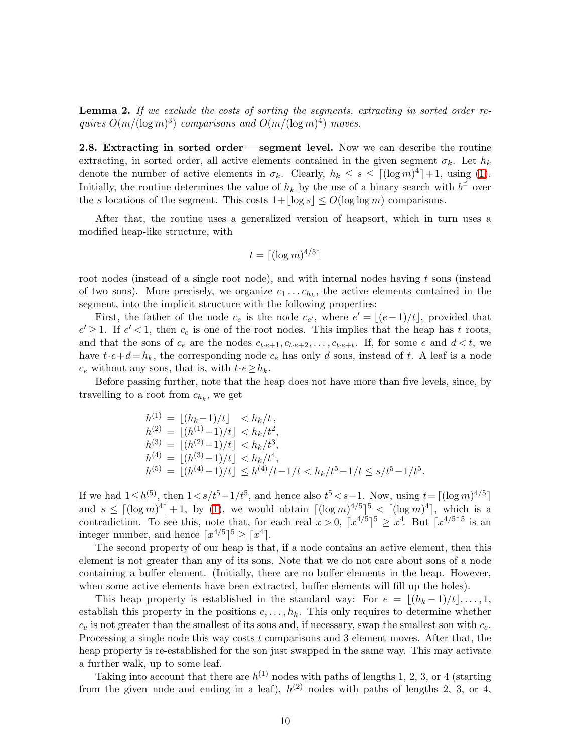**Lemma 2.** If we exclude the costs of sorting the segments, extracting in sorted order requires  $O(m/(\log m)^3)$  comparisons and  $O(m/(\log m)^4)$  moves.

<span id="page-9-0"></span>2.8. Extracting in sorted order— segment level. Now we can describe the routine extracting, in sorted order, all active elements contained in the given segment  $\sigma_k$ . Let  $h_k$ denote the number of active elements in  $\sigma_k$ . Clearly,  $h_k \leq s \leq \lfloor (\log m)^4 \rfloor + 1$ , using [\(1\)](#page-4-0). Initially, the routine determines the value of  $h_k$  by the use of a binary search with  $b^{\leq}$  over the s locations of the segment. This costs  $1+|\log s| \le O(\log \log m)$  comparisons.

After that, the routine uses a generalized version of heapsort, which in turn uses a modified heap-like structure, with

$$
t = \lceil (\log m)^{4/5} \rceil
$$

root nodes (instead of a single root node), and with internal nodes having  $t$  sons (instead of two sons). More precisely, we organize  $c_1 \ldots c_{h_k}$ , the active elements contained in the segment, into the implicit structure with the following properties:

First, the father of the node  $c_e$  is the node  $c_{e'}$ , where  $e' = \lfloor (e-1)/t \rfloor$ , provided that  $e' \geq 1$ . If  $e' < 1$ , then  $c_e$  is one of the root nodes. This implies that the heap has t roots, and that the sons of  $c_e$  are the nodes  $c_{t \cdot e+1}, c_{t \cdot e+2}, \ldots, c_{t \cdot e+t}$ . If, for some  $e$  and  $d \lt t$ , we have  $t \cdot e + d = h_k$ , the corresponding node  $c_e$  has only d sons, instead of t. A leaf is a node  $c_e$  without any sons, that is, with  $t \cdot e \geq h_k$ .

Before passing further, note that the heap does not have more than five levels, since, by travelling to a root from  $c_{h_k}$ , we get

$$
h^{(1)} = \lfloor (h_k - 1)/t \rfloor < h_k/t,
$$
\n
$$
h^{(2)} = \lfloor (h^{(1)} - 1)/t \rfloor < h_k/t^2,
$$
\n
$$
h^{(3)} = \lfloor (h^{(2)} - 1)/t \rfloor < h_k/t^3,
$$
\n
$$
h^{(4)} = \lfloor (h^{(3)} - 1)/t \rfloor < h_k/t^4,
$$
\n
$$
h^{(5)} = \lfloor (h^{(4)} - 1)/t \rfloor \le h^{(4)}/t - 1/t < h_k/t^5 - 1/t \le s/t^5 - 1/t^5.
$$

If we had  $1 \leq h^{(5)}$ , then  $1 \lt s/t^5-1/t^5$ , and hence also  $t^5 \lt s-1$ . Now, using  $t = \lceil (\log m)^{4/5} \rceil$ and  $s \leq [(\log m)^4] + 1$ , by [\(1\)](#page-4-0), we would obtain  $[(\log m)^{4/5}]^5 < [(\log m)^4]$ , which is a contradiction. To see this, note that, for each real  $x > 0$ ,  $\lceil x^{4/5} \rceil^5 \ge x^4$ . But  $\lceil x^{4/5} \rceil^5$  is an integer number, and hence  $\lceil x^{4/5} \rceil^5 \geq \lceil x^4 \rceil$ .

The second property of our heap is that, if a node contains an active element, then this element is not greater than any of its sons. Note that we do not care about sons of a node containing a buffer element. (Initially, there are no buffer elements in the heap. However, when some active elements have been extracted, buffer elements will fill up the holes).

This heap property is established in the standard way: For  $e = |(h_k-1)/t|, \ldots, 1$ , establish this property in the positions  $e, \ldots, h_k$ . This only requires to determine whether  $c_e$  is not greater than the smallest of its sons and, if necessary, swap the smallest son with  $c_e$ . Processing a single node this way costs  $t$  comparisons and 3 element moves. After that, the heap property is re-established for the son just swapped in the same way. This may activate a further walk, up to some leaf.

Taking into account that there are  $h^{(1)}$  nodes with paths of lengths 1, 2, 3, or 4 (starting from the given node and ending in a leaf),  $h^{(2)}$  nodes with paths of lengths 2, 3, or 4,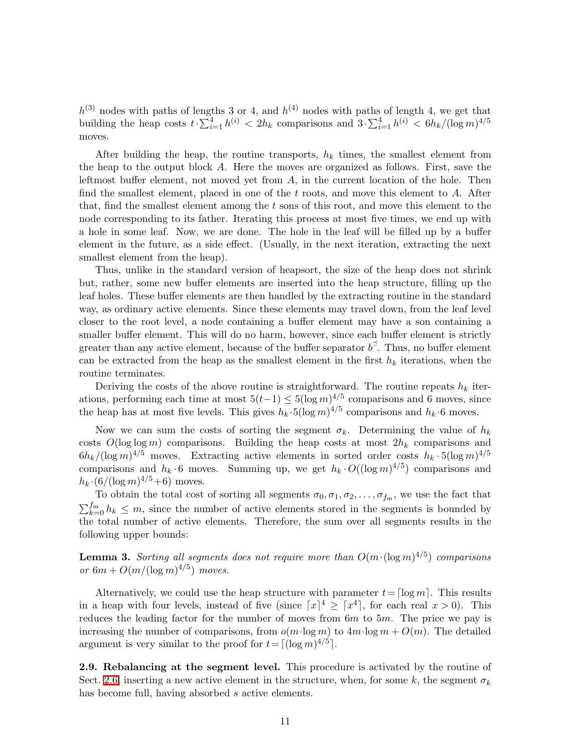$h^{(3)}$  nodes with paths of lengths 3 or 4, and  $h^{(4)}$  nodes with paths of length 4, we get that building the heap costs  $t \cdot \sum_{i=1}^4 h^{(i)} < 2h_k$  comparisons and  $3 \cdot \sum_{i=1}^4 h^{(i)} < 6h_k/(\log m)^{4/5}$ moves.

After building the heap, the routine transports,  $h_k$  times, the smallest element from the heap to the output block A. Here the moves are organized as follows. First, save the leftmost buffer element, not moved yet from  $A$ , in the current location of the hole. Then find the smallest element, placed in one of the  $t$  roots, and move this element to  $A$ . After that, find the smallest element among the t sons of this root, and move this element to the node corresponding to its father. Iterating this process at most five times, we end up with a hole in some leaf. Now, we are done. The hole in the leaf will be filled up by a buffer element in the future, as a side effect. (Usually, in the next iteration, extracting the next smallest element from the heap).

Thus, unlike in the standard version of heapsort, the size of the heap does not shrink but, rather, some new buffer elements are inserted into the heap structure, filling up the leaf holes. These buffer elements are then handled by the extracting routine in the standard way, as ordinary active elements. Since these elements may travel down, from the leaf level closer to the root level, a node containing a buffer element may have a son containing a smaller buffer element. This will do no harm, however, since each buffer element is strictly greater than any active element, because of the buffer separator  $b^{\preceq}$ . Thus, no buffer element can be extracted from the heap as the smallest element in the first  $h_k$  iterations, when the routine terminates.

Deriving the costs of the above routine is straightforward. The routine repeats  $h_k$  iterations, performing each time at most  $5(t-1) \leq 5(\log m)^{4/5}$  comparisons and 6 moves, since the heap has at most five levels. This gives  $h_k \cdot 5(\log m)^{4/5}$  comparisons and  $h_k \cdot 6$  moves.

Now we can sum the costs of sorting the segment  $\sigma_k$ . Determining the value of  $h_k$ costs  $O(\log \log m)$  comparisons. Building the heap costs at most  $2h_k$  comparisons and  $6h_k/(\log m)^{4/5}$  moves. Extracting active elements in sorted order costs  $h_k \cdot 5(\log m)^{4/5}$ comparisons and  $h_k \cdot 6$  moves. Summing up, we get  $h_k \cdot O((\log m)^{4/5})$  comparisons and  $h_k \cdot (6/(\log m)^{4/5} + 6)$  moves.

To obtain the total cost of sorting all segments  $\sigma_0, \sigma_1, \sigma_2, \ldots, \sigma_{f_m}$ , we use the fact that  $\sum_{k=0}^{f_m} h_k \leq m$ , since the number of active elements stored in the segments is bounded by the total number of active elements. Therefore, the sum over all segments results in the following upper bounds:

**Lemma 3.** Sorting all segments does not require more than  $O(m \cdot (\log m)^{4/5})$  comparisons or  $6m + O(m/(\log m)^{4/5})$  moves.

Alternatively, we could use the heap structure with parameter  $t=[\log m]$ . This results in a heap with four levels, instead of five (since  $[x]^4 \geq [x^4]$ , for each real  $x > 0$ ). This reduces the leading factor for the number of moves from  $6m$  to  $5m$ . The price we pay is increasing the number of comparisons, from  $o(m \cdot \log m)$  to  $4m \cdot \log m + O(m)$ . The detailed argument is very similar to the proof for  $t = \lfloor (\log m)^{4/5} \rfloor$ .

<span id="page-10-0"></span>2.9. Rebalancing at the segment level. This procedure is activated by the routine of Sect. [2.6,](#page-7-0) inserting a new active element in the structure, when, for some k, the segment  $\sigma_k$ has become full, having absorbed s active elements.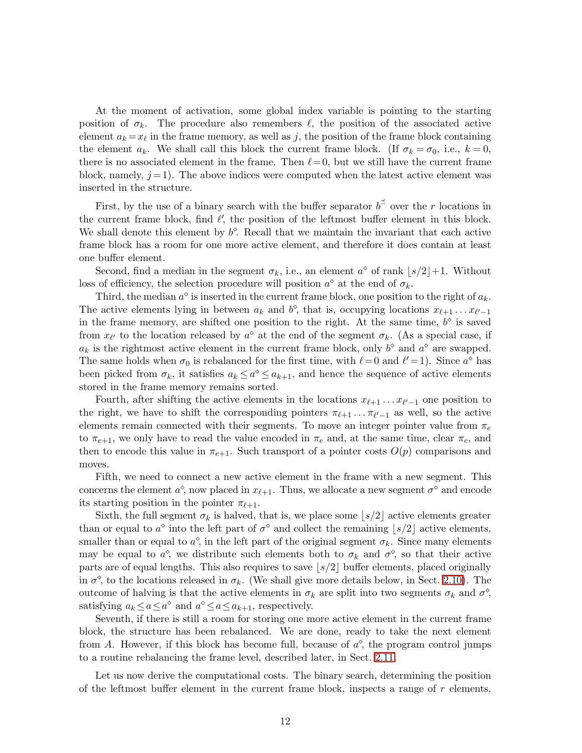At the moment of activation, some global index variable is pointing to the starting position of  $\sigma_k$ . The procedure also remembers  $\ell$ , the position of the associated active element  $a_k = x_\ell$  in the frame memory, as well as j, the position of the frame block containing the element  $a_k$ . We shall call this block the current frame block. (If  $\sigma_k = \sigma_0$ , i.e.,  $k = 0$ , there is no associated element in the frame. Then  $\ell=0$ , but we still have the current frame block, namely,  $j = 1$ ). The above indices were computed when the latest active element was inserted in the structure.

First, by the use of a binary search with the buffer separator  $b^{\preceq}$  over the r locations in the current frame block, find  $\ell'$ , the position of the leftmost buffer element in this block. We shall denote this element by  $b^{\diamond}$ . Recall that we maintain the invariant that each active frame block has a room for one more active element, and therefore it does contain at least one buffer element.

Second, find a median in the segment  $\sigma_k$ , i.e., an element  $a^{\diamond}$  of rank  $\lfloor s/2 \rfloor + 1$ . Without loss of efficiency, the selection procedure will position  $a^{\diamond}$  at the end of  $\sigma_k$ .

Third, the median  $a^{\diamond}$  is inserted in the current frame block, one position to the right of  $a_k$ . The active elements lying in between  $a_k$  and  $b^{\diamond}$ , that is, occupying locations  $x_{\ell+1} \ldots x_{\ell'-1}$ in the frame memory, are shifted one position to the right. At the same time,  $b^{\diamond}$  is saved from  $x_{\ell'}$  to the location released by  $a^{\diamond}$  at the end of the segment  $\sigma_k$ . (As a special case, if  $a_k$  is the rightmost active element in the current frame block, only  $b^{\diamond}$  and  $a^{\diamond}$  are swapped. The same holds when  $\sigma_0$  is rebalanced for the first time, with  $\ell = 0$  and  $\ell' = 1$ ). Since  $a^{\diamond}$  has been picked from  $\sigma_k$ , it satisfies  $a_k \leq a^{\diamond} \leq a_{k+1}$ , and hence the sequence of active elements stored in the frame memory remains sorted.

Fourth, after shifting the active elements in the locations  $x_{\ell+1} \ldots x_{\ell'-1}$  one position to the right, we have to shift the corresponding pointers  $\pi_{\ell+1} \dots \pi_{\ell'-1}$  as well, so the active elements remain connected with their segments. To move an integer pointer value from  $\pi_e$ to  $\pi_{e+1}$ , we only have to read the value encoded in  $\pi_e$  and, at the same time, clear  $\pi_e$ , and then to encode this value in  $\pi_{e+1}$ . Such transport of a pointer costs  $O(p)$  comparisons and moves.

Fifth, we need to connect a new active element in the frame with a new segment. This concerns the element  $a^{\diamond}$ , now placed in  $x_{\ell+1}$ . Thus, we allocate a new segment  $\sigma^{\diamond}$  and encode its starting position in the pointer  $\pi_{\ell+1}$ .

Sixth, the full segment  $\sigma_k$  is halved, that is, we place some  $|s/2|$  active elements greater than or equal to  $a^{\circ}$  into the left part of  $\sigma^{\circ}$  and collect the remaining  $|s/2|$  active elements, smaller than or equal to  $a^{\diamond}$ , in the left part of the original segment  $\sigma_k$ . Since many elements may be equal to  $a^{\circ}$ , we distribute such elements both to  $\sigma_k$  and  $\sigma^{\circ}$ , so that their active parts are of equal lengths. This also requires to save  $|s/2|$  buffer elements, placed originally in  $\sigma^{\diamond}$ , to the locations released in  $\sigma_k$ . (We shall give more details below, in Sect. [2.10\)](#page-12-0). The outcome of halving is that the active elements in  $\sigma_k$  are split into two segments  $\sigma_k$  and  $\sigma^{\diamond}$ , satisfying  $a_k \le a \le a^{\diamond}$  and  $a^{\diamond} \le a \le a_{k+1}$ , respectively.

Seventh, if there is still a room for storing one more active element in the current frame block, the structure has been rebalanced. We are done, ready to take the next element from A. However, if this block has become full, because of  $a^{\diamond}$ , the program control jumps to a routine rebalancing the frame level, described later, in Sect. [2.11.](#page-13-0)

Let us now derive the computational costs. The binary search, determining the position of the leftmost buffer element in the current frame block, inspects a range of  $r$  elements,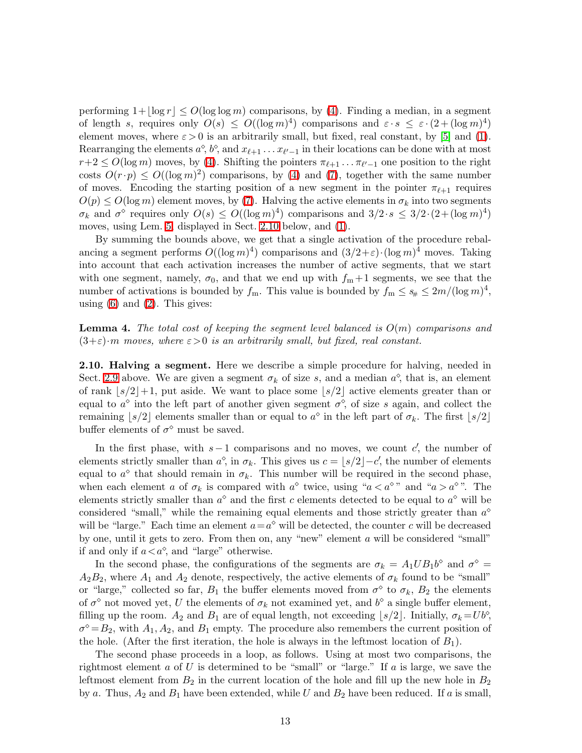performing  $1+|\log r| \le O(\log \log m)$  comparisons, by [\(4\)](#page-4-3). Finding a median, in a segment of length s, requires only  $O(s) \leq O((\log m)^4)$  comparisons and  $\varepsilon \cdot s \leq \varepsilon \cdot (2 + (\log m)^4)$ element moves, where  $\varepsilon > 0$  is an arbitrarily small, but fixed, real constant, by [\[5\]](#page-21-12) and [\(1\)](#page-4-0). Rearranging the elements  $a^{\circ}, b^{\circ}$ , and  $x_{\ell+1} \ldots x_{\ell'-1}$  in their locations can be done with at most  $r+2 \leq O(\log m)$  moves, by [\(4\)](#page-4-3). Shifting the pointers  $\pi_{\ell+1} \dots \pi_{\ell'-1}$  one position to the right costs  $O(r \cdot p) \le O((\log m)^2)$  comparisons, by [\(4\)](#page-4-3) and [\(7\)](#page-6-1), together with the same number of moves. Encoding the starting position of a new segment in the pointer  $\pi_{\ell+1}$  requires  $O(p) \leq O(\log m)$  element moves, by [\(7\)](#page-6-1). Halving the active elements in  $\sigma_k$  into two segments  $\sigma_k$  and  $\sigma^{\diamond}$  requires only  $O(s) \leq O((\log m)^4)$  comparisons and  $3/2 \cdot s \leq 3/2 \cdot (2+(\log m)^4)$ moves, using Lem. [5,](#page-13-1) displayed in Sect. [2.10](#page-12-0) below, and [\(1\)](#page-4-0).

By summing the bounds above, we get that a single activation of the procedure rebalancing a segment performs  $O((\log m)^4)$  comparisons and  $(3/2+\varepsilon)\cdot (\log m)^4$  moves. Taking into account that each activation increases the number of active segments, that we start with one segment, namely,  $\sigma_0$ , and that we end up with  $f_m + 1$  segments, we see that the number of activations is bounded by  $f_m$ . This value is bounded by  $f_m \leq s_{\#} \leq 2m/(\log m)^4$ , using  $(6)$  and  $(2)$ . This gives:

<span id="page-12-1"></span>**Lemma 4.** The total cost of keeping the segment level balanced is  $O(m)$  comparisons and  $(3+\varepsilon)\cdot m$  moves, where  $\varepsilon>0$  is an arbitrarily small, but fixed, real constant.

<span id="page-12-0"></span>2.10. Halving a segment. Here we describe a simple procedure for halving, needed in Sect. [2.9](#page-10-0) above. We are given a segment  $\sigma_k$  of size s, and a median  $a^{\diamond}$ , that is, an element of rank  $|s/2|+1$ , put aside. We want to place some  $|s/2|$  active elements greater than or equal to  $a^{\diamond}$  into the left part of another given segment  $\sigma^{\diamond}$ , of size s again, and collect the remaining  $\lfloor s/2 \rfloor$  elements smaller than or equal to  $a^{\diamond}$  in the left part of  $\sigma_k$ . The first  $\lfloor s/2 \rfloor$ buffer elements of  $\sigma^{\diamond}$  must be saved.

In the first phase, with  $s-1$  comparisons and no moves, we count c', the number of elements strictly smaller than  $a^{\circ}$ , in  $\sigma_k$ . This gives us  $c = \lfloor s/2 \rfloor - c'$ , the number of elements equal to  $a^{\diamond}$  that should remain in  $\sigma_k$ . This number will be required in the second phase, when each element a of  $\sigma_k$  is compared with  $a^{\diamond}$  twice, using " $a < a^{\diamond}$ " and " $a > a^{\diamond}$ ". The elements strictly smaller than  $a^{\diamond}$  and the first c elements detected to be equal to  $a^{\diamond}$  will be considered "small," while the remaining equal elements and those strictly greater than  $a^{\diamond}$ will be "large." Each time an element  $a = a^{\diamond}$  will be detected, the counter c will be decreased by one, until it gets to zero. From then on, any "new" element a will be considered "small" if and only if  $a < a^{\diamond}$ , and "large" otherwise.

In the second phase, the configurations of the segments are  $\sigma_k = A_1 U B_1 b^{\circ}$  and  $\sigma^{\circ} =$  $A_2B_2$ , where  $A_1$  and  $A_2$  denote, respectively, the active elements of  $\sigma_k$  found to be "small" or "large," collected so far,  $B_1$  the buffer elements moved from  $\sigma^{\diamond}$  to  $\sigma_k$ ,  $B_2$  the elements of  $\sigma^{\diamond}$  not moved yet, U the elements of  $\sigma_k$  not examined yet, and  $b^{\diamond}$  a single buffer element, filling up the room.  $A_2$  and  $B_1$  are of equal length, not exceeding  $\lfloor s/2 \rfloor$ . Initially,  $\sigma_k = U b^{\diamond}$ ,  $\sigma^{\circ} = B_2$ , with  $A_1, A_2$ , and  $B_1$  empty. The procedure also remembers the current position of the hole. (After the first iteration, the hole is always in the leftmost location of  $B_1$ ).

The second phase proceeds in a loop, as follows. Using at most two comparisons, the rightmost element a of U is determined to be "small" or "large." If a is large, we save the leftmost element from  $B_2$  in the current location of the hole and fill up the new hole in  $B_2$ by a. Thus,  $A_2$  and  $B_1$  have been extended, while U and  $B_2$  have been reduced. If a is small,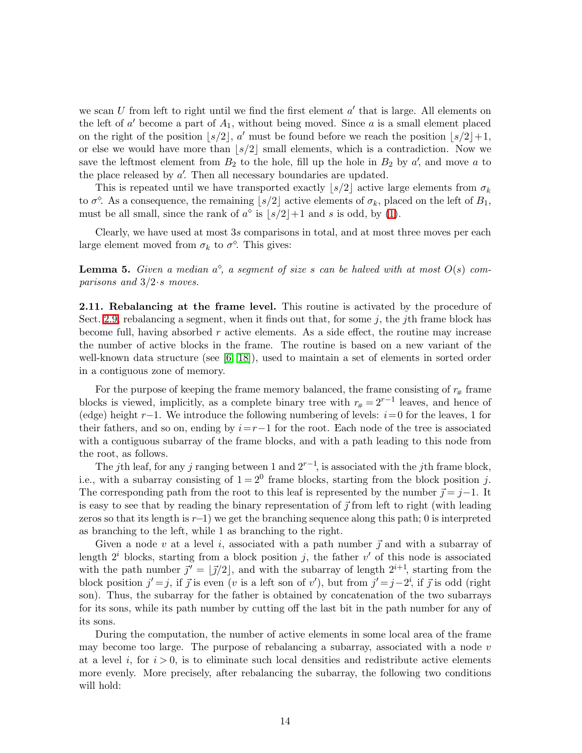we scan  $U$  from left to right until we find the first element  $a'$  that is large. All elements on the left of  $a'$  become a part of  $A_1$ , without being moved. Since a is a small element placed on the right of the position  $|s/2|$ , a' must be found before we reach the position  $|s/2|+1$ , or else we would have more than  $|s/2|$  small elements, which is a contradiction. Now we save the leftmost element from  $B_2$  to the hole, fill up the hole in  $B_2$  by a', and move a to the place released by  $a'$ . Then all necessary boundaries are updated.

This is repeated until we have transported exactly  $|s/2|$  active large elements from  $\sigma_k$ to  $\sigma^{\diamond}$ . As a consequence, the remaining  $\lfloor s/2 \rfloor$  active elements of  $\sigma_k$ , placed on the left of  $B_1$ , must be all small, since the rank of  $a^{\circ}$  is  $|s/2|+1$  and s is odd, by [\(1\)](#page-4-0).

<span id="page-13-1"></span>Clearly, we have used at most 3s comparisons in total, and at most three moves per each large element moved from  $\sigma_k$  to  $\sigma^{\diamond}$ . This gives:

**Lemma 5.** Given a median  $a^{\diamond}$ , a segment of size s can be halved with at most  $O(s)$  comparisons and  $3/2$  · s moves.

<span id="page-13-0"></span>2.11. Rebalancing at the frame level. This routine is activated by the procedure of Sect. [2.9,](#page-10-0) rebalancing a segment, when it finds out that, for some  $j$ , the *j*th frame block has become full, having absorbed  $r$  active elements. As a side effect, the routine may increase the number of active blocks in the frame. The routine is based on a new variant of the well-known data structure (see [\[6,](#page-21-13) [18\]](#page-21-14)), used to maintain a set of elements in sorted order in a contiguous zone of memory.

For the purpose of keeping the frame memory balanced, the frame consisting of  $r_{#}$  frame blocks is viewed, implicitly, as a complete binary tree with  $r_{#} = 2^{r-1}$  leaves, and hence of (edge) height r−1. We introduce the following numbering of levels:  $i=0$  for the leaves, 1 for their fathers, and so on, ending by  $i=r-1$  for the root. Each node of the tree is associated with a contiguous subarray of the frame blocks, and with a path leading to this node from the root, as follows.

The jth leaf, for any j ranging between 1 and  $2^{r-1}$ , is associated with the jth frame block, i.e., with a subarray consisting of  $1 = 2^0$  frame blocks, starting from the block position j. The corresponding path from the root to this leaf is represented by the number  $\vec{\gamma} = j-1$ . It is easy to see that by reading the binary representation of  $\vec{\jmath}$  from left to right (with leading zeros so that its length is  $r-1$ ) we get the branching sequence along this path; 0 is interpreted as branching to the left, while 1 as branching to the right.

Given a node v at a level i, associated with a path number  $\vec{j}$  and with a subarray of length  $2^i$  blocks, starting from a block position j, the father v' of this node is associated with the path number  $\vec{j'} = [\vec{j}/2]$ , and with the subarray of length  $2^{i+1}$ , starting from the block position  $j' = j$ , if  $\vec{j}$  is even (v is a left son of v'), but from  $j' = j - 2^i$ , if  $\vec{j}$  is odd (right son). Thus, the subarray for the father is obtained by concatenation of the two subarrays for its sons, while its path number by cutting off the last bit in the path number for any of its sons.

During the computation, the number of active elements in some local area of the frame may become too large. The purpose of rebalancing a subarray, associated with a node  $v$ at a level i, for  $i > 0$ , is to eliminate such local densities and redistribute active elements more evenly. More precisely, after rebalancing the subarray, the following two conditions will hold: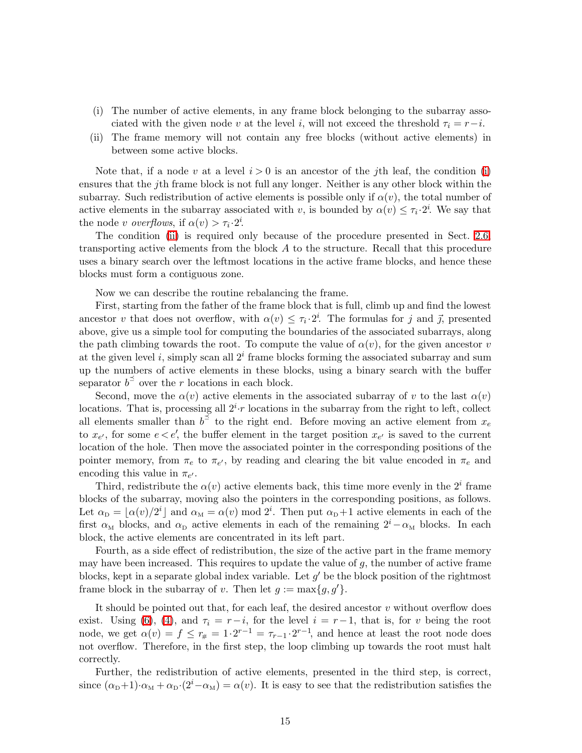- <span id="page-14-0"></span>(i) The number of active elements, in any frame block belonging to the subarray associated with the given node v at the level i, will not exceed the threshold  $\tau_i = r-i$ .
- <span id="page-14-1"></span>(ii) The frame memory will not contain any free blocks (without active elements) in between some active blocks.

Note that, if a node v at a level  $i > 0$  is an ancestor of the j<sup>th</sup> leaf, the condition [\(i\)](#page-14-0) ensures that the jth frame block is not full any longer. Neither is any other block within the subarray. Such redistribution of active elements is possible only if  $\alpha(v)$ , the total number of active elements in the subarray associated with v, is bounded by  $\alpha(v) \leq \tau_i \cdot 2^i$ . We say that the node *v* overflows, if  $\alpha(v) > \tau_i \cdot 2^i$ .

The condition [\(ii\)](#page-14-1) is required only because of the procedure presented in Sect. [2.6,](#page-7-0) transporting active elements from the block A to the structure. Recall that this procedure uses a binary search over the leftmost locations in the active frame blocks, and hence these blocks must form a contiguous zone.

Now we can describe the routine rebalancing the frame.

First, starting from the father of the frame block that is full, climb up and find the lowest ancestor v that does not overflow, with  $\alpha(v) \leq \tau_i \cdot 2^i$ . The formulas for j and j, presented above, give us a simple tool for computing the boundaries of the associated subarrays, along the path climbing towards the root. To compute the value of  $\alpha(v)$ , for the given ancestor v at the given level i, simply scan all  $2<sup>i</sup>$  frame blocks forming the associated subarray and sum up the numbers of active elements in these blocks, using a binary search with the buffer separator  $b^{\preceq}$  over the r locations in each block.

Second, move the  $\alpha(v)$  active elements in the associated subarray of v to the last  $\alpha(v)$ locations. That is, processing all  $2^{i} \cdot r$  locations in the subarray from the right to left, collect all elements smaller than  $b^{\leq}$  to the right end. Before moving an active element from  $x_e$ to  $x_{e'}$ , for some  $e < e'$ , the buffer element in the target position  $x_{e'}$  is saved to the current location of the hole. Then move the associated pointer in the corresponding positions of the pointer memory, from  $\pi_e$  to  $\pi_{e'}$ , by reading and clearing the bit value encoded in  $\pi_e$  and encoding this value in  $\pi_{e'}$ .

Third, redistribute the  $\alpha(v)$  active elements back, this time more evenly in the  $2^i$  frame blocks of the subarray, moving also the pointers in the corresponding positions, as follows. Let  $\alpha_{\rm D} = \lfloor \alpha(v)/2^i \rfloor$  and  $\alpha_{\rm M} = \alpha(v) \mod 2^i$ . Then put  $\alpha_{\rm D} + 1$  active elements in each of the first  $\alpha_M$  blocks, and  $\alpha_D$  active elements in each of the remaining  $2^i-\alpha_M$  blocks. In each block, the active elements are concentrated in its left part.

Fourth, as a side effect of redistribution, the size of the active part in the frame memory may have been increased. This requires to update the value of  $g$ , the number of active frame blocks, kept in a separate global index variable. Let  $g'$  be the block position of the rightmost frame block in the subarray of v. Then let  $g := \max\{g, g'\}.$ 

It should be pointed out that, for each leaf, the desired ancestor  $v$  without overflow does exist. Using [\(6\)](#page-6-0), [\(4\)](#page-4-3), and  $\tau_i = r-i$ , for the level  $i = r-1$ , that is, for v being the root node, we get  $\alpha(v) = f \leq r_{\#} = 1 \cdot 2^{r-1} = \tau_{r-1} \cdot 2^{r-1}$ , and hence at least the root node does not overflow. Therefore, in the first step, the loop climbing up towards the root must halt correctly.

Further, the redistribution of active elements, presented in the third step, is correct, since  $(\alpha_D+1)\cdot \alpha_M + \alpha_D\cdot (2^i-\alpha_M) = \alpha(v)$ . It is easy to see that the redistribution satisfies the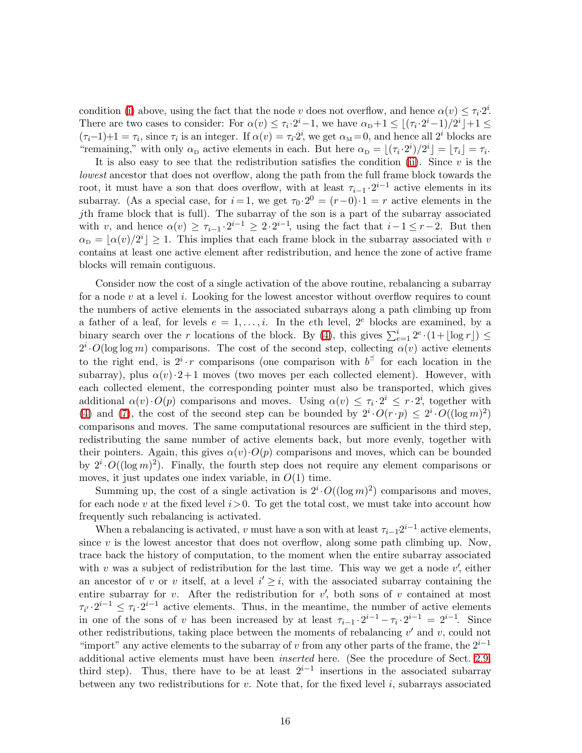condition [\(i\)](#page-14-0) above, using the fact that the node v does not overflow, and hence  $\alpha(v) \leq \tau_i \cdot 2^i$ . There are two cases to consider: For  $\alpha(v) \leq \tau_i \cdot 2^i - 1$ , we have  $\alpha_{\text{D}} + 1 \leq \lfloor (\tau_i \cdot 2^i - 1)/2^i \rfloor + 1 \leq$  $(\tau_i-1)+1=\tau_i$ , since  $\tau_i$  is an integer. If  $\alpha(v)=\tau_i\cdot 2^i$ , we get  $\alpha_M=0$ , and hence all  $2^i$  blocks are "remaining," with only  $\alpha_D$  active elements in each. But here  $\alpha_D = \lfloor (\tau_i \cdot 2^i)/2^i \rfloor = \lfloor \tau_i \rfloor = \tau_i$ .

It is also easy to see that the redistribution satisfies the condition [\(ii\)](#page-14-1). Since  $v$  is the lowest ancestor that does not overflow, along the path from the full frame block towards the root, it must have a son that does overflow, with at least  $\tau_{i-1} \cdot 2^{i-1}$  active elements in its subarray. (As a special case, for  $i = 1$ , we get  $\tau_0 \cdot 2^0 = (r-0) \cdot 1 = r$  active elements in the jth frame block that is full). The subarray of the son is a part of the subarray associated with v, and hence  $\alpha(v) \geq \tau_{i-1} \cdot 2^{i-1} \geq 2 \cdot 2^{i-1}$ , using the fact that  $i-1 \leq r-2$ . But then  $\alpha_{\rm D} = \lfloor \alpha(v)/2^i \rfloor \geq 1$ . This implies that each frame block in the subarray associated with v contains at least one active element after redistribution, and hence the zone of active frame blocks will remain contiguous.

Consider now the cost of a single activation of the above routine, rebalancing a subarray for a node  $v$  at a level  $i$ . Looking for the lowest ancestor without overflow requires to count the numbers of active elements in the associated subarrays along a path climbing up from a father of a leaf, for levels  $e = 1, \ldots, i$ . In the eth level,  $2^e$  blocks are examined, by a binary search over the r locations of the block. By [\(4\)](#page-4-3), this gives  $\sum_{e=1}^{i} 2^e \cdot (1 + \lfloor \log r \rfloor) \le$  $2^i \cdot O(\log \log m)$  comparisons. The cost of the second step, collecting  $\alpha(v)$  active elements to the right end, is  $2^{i} \cdot r$  comparisons (one comparison with  $b^{\preceq}$  for each location in the subarray), plus  $\alpha(v) \cdot 2+1$  moves (two moves per each collected element). However, with each collected element, the corresponding pointer must also be transported, which gives additional  $\alpha(v) \cdot O(p)$  comparisons and moves. Using  $\alpha(v) \leq \tau_i \cdot 2^i \leq r \cdot 2^i$ , together with [\(4\)](#page-4-3) and [\(7\)](#page-6-1), the cost of the second step can be bounded by  $2^i \cdot O(r \cdot p) \leq 2^i \cdot O((\log m)^2)$ comparisons and moves. The same computational resources are sufficient in the third step, redistributing the same number of active elements back, but more evenly, together with their pointers. Again, this gives  $\alpha(v) \cdot O(p)$  comparisons and moves, which can be bounded by  $2^i \cdot O((\log m)^2)$ . Finally, the fourth step does not require any element comparisons or moves, it just updates one index variable, in  $O(1)$  time.

Summing up, the cost of a single activation is  $2^i \cdot O((\log m)^2)$  comparisons and moves, for each node v at the fixed level  $i>0$ . To get the total cost, we must take into account how frequently such rebalancing is activated.

When a rebalancing is activated, v must have a son with at least  $\tau_{i-1}2^{i-1}$  active elements, since  $v$  is the lowest ancestor that does not overflow, along some path climbing up. Now, trace back the history of computation, to the moment when the entire subarray associated with v was a subject of redistribution for the last time. This way we get a node  $v'$ , either an ancestor of v or v itself, at a level  $i' \geq i$ , with the associated subarray containing the entire subarray for  $v$ . After the redistribution for  $v'$ , both sons of  $v$  contained at most  $\tau_{i'}\cdot 2^{i-1} \leq \tau_i\cdot 2^{i-1}$  active elements. Thus, in the meantime, the number of active elements in one of the sons of v has been increased by at least  $\tau_{i-1} \cdot 2^{i-1} - \tau_i \cdot 2^{i-1} = 2^{i-1}$ . Since other redistributions, taking place between the moments of rebalancing  $v'$  and  $v$ , could not "import" any active elements to the subarray of v from any other parts of the frame, the  $2^{i-1}$ additional active elements must have been inserted here. (See the procedure of Sect. [2.9,](#page-10-0) third step). Thus, there have to be at least  $2^{i-1}$  insertions in the associated subarray between any two redistributions for  $v$ . Note that, for the fixed level  $i$ , subarrays associated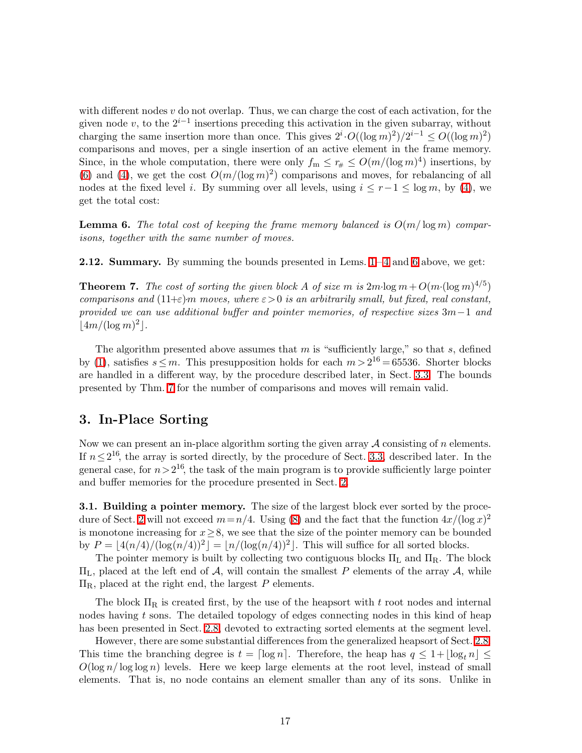with different nodes  $v$  do not overlap. Thus, we can charge the cost of each activation, for the given node v, to the  $2^{i-1}$  insertions preceding this activation in the given subarray, without charging the same insertion more than once. This gives  $2^i \cdot O((\log m)^2)/2^{i-1} \leq O((\log m)^2)$ comparisons and moves, per a single insertion of an active element in the frame memory. Since, in the whole computation, there were only  $f_m \leq r_{\#} \leq O(m/(\log m)^4)$  insertions, by [\(6\)](#page-6-0) and [\(4\)](#page-4-3), we get the cost  $O(m/(\log m)^2)$  comparisons and moves, for rebalancing of all nodes at the fixed level i. By summing over all levels, using  $i \leq r-1 \leq \log m$ , by [\(4\)](#page-4-3), we get the total cost:

<span id="page-16-0"></span>**Lemma 6.** The total cost of keeping the frame memory balanced is  $O(m/\log m)$  comparisons, together with the same number of moves.

<span id="page-16-2"></span><span id="page-16-1"></span>**2.12. Summary.** By summing the bounds presented in Lems.  $1-4$  and [6](#page-16-0) above, we get:

**Theorem 7.** The cost of sorting the given block A of size m is  $2m \cdot \log m + O(m \cdot (\log m)^{4/5})$ comparisons and  $(11+\epsilon)m$  moves, where  $\epsilon > 0$  is an arbitrarily small, but fixed, real constant, provided we can use additional buffer and pointer memories, of respective sizes 3m−1 and  $\lfloor 4m/(\log m)^2 \rfloor$ .

The algorithm presented above assumes that  $m$  is "sufficiently large," so that  $s$ , defined by [\(1\)](#page-4-0), satisfies  $s \leq m$ . This presupposition holds for each  $m > 2^{16} = 65536$ . Shorter blocks are handled in a different way, by the procedure described later, in Sect. [3.3.](#page-19-0) The bounds presented by Thm. [7](#page-16-1) for the number of comparisons and moves will remain valid.

## 3. In-Place Sorting

Now we can present an in-place algorithm sorting the given array  $A$  consisting of n elements. If  $n \leq 2^{16}$ , the array is sorted directly, by the procedure of Sect. [3.3,](#page-19-0) described later. In the general case, for  $n>2^{16}$ , the task of the main program is to provide sufficiently large pointer and buffer memories for the procedure presented in Sect. [2.](#page-3-0)

<span id="page-16-3"></span>**3.1. Building a pointer memory.** The size of the largest block ever sorted by the proce-dure of Sect. [2](#page-3-0) will not exceed  $m=n/4$ . Using [\(8\)](#page-6-2) and the fact that the function  $4x/(\log x)^2$ is monotone increasing for  $x\geq 8$ , we see that the size of the pointer memory can be bounded by  $P = \lfloor 4(n/4)/( \log(n/4))^2 \rfloor = \lfloor n/(\log(n/4))^2 \rfloor$ . This will suffice for all sorted blocks.

The pointer memory is built by collecting two contiguous blocks  $\Pi_L$  and  $\Pi_R$ . The block  $\Pi_L$ , placed at the left end of A, will contain the smallest P elements of the array A, while  $\Pi_{\rm R}$ , placed at the right end, the largest P elements.

The block  $\Pi_R$  is created first, by the use of the heapsort with t root nodes and internal nodes having  $t$  sons. The detailed topology of edges connecting nodes in this kind of heap has been presented in Sect. [2.8,](#page-9-0) devoted to extracting sorted elements at the segment level.

However, there are some substantial differences from the generalized heapsort of Sect. [2.8.](#page-9-0) This time the branching degree is  $t = \lceil \log n \rceil$ . Therefore, the heap has  $q \leq 1 + \lceil \log_t n \rceil \leq$  $O(\log n/\log \log n)$  levels. Here we keep large elements at the root level, instead of small elements. That is, no node contains an element smaller than any of its sons. Unlike in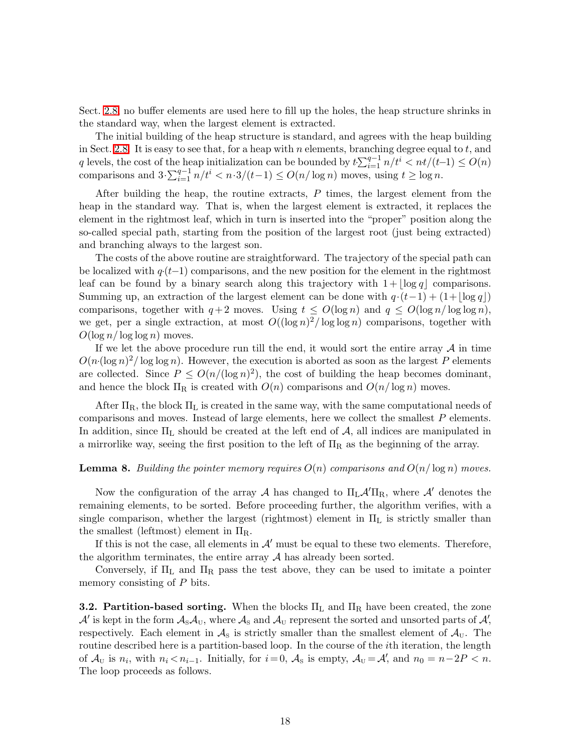Sect. [2.8,](#page-9-0) no buffer elements are used here to fill up the holes, the heap structure shrinks in the standard way, when the largest element is extracted.

The initial building of the heap structure is standard, and agrees with the heap building in Sect. [2.8.](#page-9-0) It is easy to see that, for a heap with n elements, branching degree equal to  $t$ , and q levels, the cost of the heap initialization can be bounded by  $t\sum_{i=1}^{q-1} n/t^i < nt/(t-1) \leq O(n)$ comparisons and  $3 \cdot \sum_{i=1}^{q-1} n/t^i < n \cdot 3/(t-1) \leq O(n/\log n)$  moves, using  $t \geq \log n$ .

After building the heap, the routine extracts,  $P$  times, the largest element from the heap in the standard way. That is, when the largest element is extracted, it replaces the element in the rightmost leaf, which in turn is inserted into the "proper" position along the so-called special path, starting from the position of the largest root (just being extracted) and branching always to the largest son.

The costs of the above routine are straightforward. The trajectory of the special path can be localized with  $q(t-1)$  comparisons, and the new position for the element in the rightmost leaf can be found by a binary search along this trajectory with  $1+|\log q|$  comparisons. Summing up, an extraction of the largest element can be done with  $q \cdot (t-1) + (1+|\log q|)$ comparisons, together with  $q+2$  moves. Using  $t \le O(\log n)$  and  $q \le O(\log n/\log \log n)$ , we get, per a single extraction, at most  $O((\log n)^2/\log \log n)$  comparisons, together with  $O(\log n / \log \log n)$  moves.

If we let the above procedure run till the end, it would sort the entire array  $\mathcal A$  in time  $O(n(\log n)^2/\log \log n)$ . However, the execution is aborted as soon as the largest P elements are collected. Since  $P \leq O(n/(\log n)^2)$ , the cost of building the heap becomes dominant, and hence the block  $\Pi_R$  is created with  $O(n)$  comparisons and  $O(n/\log n)$  moves.

After  $\Pi_R$ , the block  $\Pi_L$  is created in the same way, with the same computational needs of comparisons and moves. Instead of large elements, here we collect the smallest P elements. In addition, since  $\Pi_L$  should be created at the left end of  $A$ , all indices are manipulated in a mirrorlike way, seeing the first position to the left of  $\Pi_R$  as the beginning of the array.

#### <span id="page-17-0"></span>**Lemma 8.** Building the pointer memory requires  $O(n)$  comparisons and  $O(n/\log n)$  moves.

Now the configuration of the array A has changed to  $\Pi_{\rm L} A' \Pi_{\rm R}$ , where A' denotes the remaining elements, to be sorted. Before proceeding further, the algorithm verifies, with a single comparison, whether the largest (rightmost) element in  $\Pi_L$  is strictly smaller than the smallest (leftmost) element in  $\Pi_R$ .

If this is not the case, all elements in  $\mathcal{A}'$  must be equal to these two elements. Therefore, the algorithm terminates, the entire array  $A$  has already been sorted.

Conversely, if  $\Pi_L$  and  $\Pi_R$  pass the test above, they can be used to imitate a pointer memory consisting of P bits.

**3.2. Partition-based sorting.** When the blocks  $\Pi_L$  and  $\Pi_R$  have been created, the zone  $\mathcal{A}'$  is kept in the form  $\mathcal{A}_S \mathcal{A}_U$ , where  $\mathcal{A}_S$  and  $\mathcal{A}_U$  represent the sorted and unsorted parts of  $\mathcal{A}'$ , respectively. Each element in  $\mathcal{A}_s$  is strictly smaller than the smallest element of  $\mathcal{A}_U$ . The routine described here is a partition-based loop. In the course of the ith iteration, the length of  $\mathcal{A}_{U}$  is  $n_{i}$ , with  $n_{i} < n_{i-1}$ . Initially, for  $i = 0$ ,  $\mathcal{A}_{S}$  is empty,  $\mathcal{A}_{U} = \mathcal{A}'$ , and  $n_{0} = n - 2P < n$ . The loop proceeds as follows.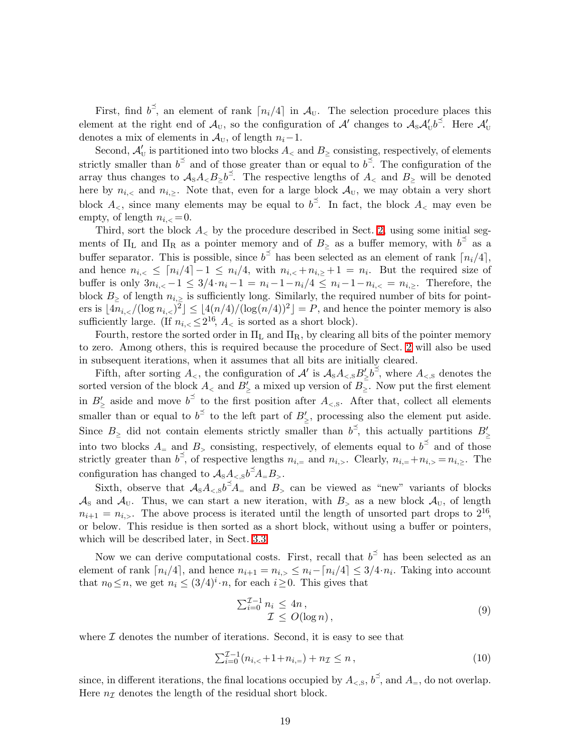First, find  $b^{\leq}$ , an element of rank  $\lceil n_i/4 \rceil$  in  $\mathcal{A}_{U}$ . The selection procedure places this element at the right end of  $\mathcal{A}_U$ , so the configuration of  $\mathcal{A}'$  changes to  $\mathcal{A}_S \mathcal{A}'_U b^{\preceq}$ . Here  $\mathcal{A}'_U$ denotes a mix of elements in  $\mathcal{A}_{U}$ , of length  $n_{i}-1$ .

Second,  $\mathcal{A}'_U$  is partitioned into two blocks  $A_<$  and  $B_\geq$  consisting, respectively, of elements strictly smaller than  $b^{\preceq}$  and of those greater than or equal to  $b^{\preceq}$ . The configuration of the array thus changes to  $A_sA_. The respective lengths of  $A_<$  and  $B_>\$  will be denoted$ here by  $n_{i,<}$  and  $n_{i,\geq}$ . Note that, even for a large block  $\mathcal{A}_{U}$ , we may obtain a very short block  $A_{\leq}$ , since many elements may be equal to  $b^{\preceq}$ . In fact, the block  $A_{\leq}$  may even be empty, of length  $n_{i,<}=0$ .

Third, sort the block  $A_{\leq}$  by the procedure described in Sect. [2,](#page-3-0) using some initial segments of  $\Pi_L$  and  $\Pi_R$  as a pointer memory and of  $B_\geq$  as a buffer memory, with  $b^{\preceq}$  as a buffer separator. This is possible, since  $b^{\leq}$  has been selected as an element of rank  $\lceil n_i/4 \rceil$ , and hence  $n_{i,<} \leq \lceil n_i/4 \rceil - 1 \leq n_i/4$ , with  $n_{i,<} + n_{i,\ge} + 1 = n_i$ . But the required size of buffer is only  $3n_{i,<}-1 \leq 3/4 \cdot n_i-1 = n_i-1-n_i/4 \leq n_i-1-n_{i,<}-n_{i>}$ . Therefore, the block  $B_{\geq}$  of length  $n_{i,\geq}$  is sufficiently long. Similarly, the required number of bits for pointers is  $\lfloor 4n_{i,<}/(\log n_{i,<})^2 \rfloor \leq \lfloor 4(n/4)/(\log(n/4))^2 \rfloor = P$ , and hence the pointer memory is also sufficiently large. (If  $n_{i,<} \leq 2^{16}$ ,  $A_{\leq}$  is sorted as a short block).

Fourth, restore the sorted order in  $\Pi_L$  and  $\Pi_R$ , by clearing all bits of the pointer memory to zero. Among others, this is required because the procedure of Sect. [2](#page-3-0) will also be used in subsequent iterations, when it assumes that all bits are initially cleared.

Fifth, after sorting  $A_<$ , the configuration of  $\mathcal{A}'$  is  $A_S A_{\leq S} B_2' b^2$ , where  $A_{\leq S}$  denotes the sorted version of the block  $A_{\leq}$  and  $B_{\geq}'$  a mixed up version of  $B_{\geq}$ . Now put the first element in  $B'_{\ge}$  aside and move  $b^{\preceq}$  to the first position after  $A_{\leq, S}$ . After that, collect all elements smaller than or equal to  $b^{\preceq}$  to the left part of  $B'_{\geq}$ , processing also the element put aside. Since  $B_{\ge}$  did not contain elements strictly smaller than  $b^{\preceq}$ , this actually partitions  $B'_{\ge}$ into two blocks  $A_{=}$  and  $B_{>}$  consisting, respectively, of elements equal to  $b^{\preceq}$  and of those strictly greater than  $b^{\preceq}$ , of respective lengths  $n_{i,=}$  and  $n_{i,>}$ . Clearly,  $n_{i,=}+n_{i,>} = n_{i,}\geq$ . The configuration has changed to  $\mathcal{A}_{S} A_{\leq,S} b^{\preceq} A_{=} B_{>}$ .

Sixth, observe that  $A_s A_{\leq s} b^{\preceq} A_{\equiv}$  and  $B_{\geq}$  can be viewed as "new" variants of blocks  $\mathcal{A}_S$  and  $\mathcal{A}_U$ . Thus, we can start a new iteration, with  $B_>$  as a new block  $\mathcal{A}_U$ , of length  $n_{i+1} = n_{i,>}$ . The above process is iterated until the length of unsorted part drops to  $2^{16}$ , or below. This residue is then sorted as a short block, without using a buffer or pointers, which will be described later, in Sect. [3.3.](#page-19-0)

Now we can derive computational costs. First, recall that  $b^{\le}$  has been selected as an element of rank  $\lceil n_i/4 \rceil$ , and hence  $n_{i+1} = n_{i,>} \leq n_i - \lceil n_i/4 \rceil \leq 3/4 \cdot n_i$ . Taking into account that  $n_0 \leq n$ , we get  $n_i \leq (3/4)^i \cdot n$ , for each  $i \geq 0$ . This gives that

<span id="page-18-0"></span>
$$
\sum_{i=0}^{\mathcal{I}-1} n_i \le 4n,
$$
  
\n
$$
\mathcal{I} \le O(\log n),
$$
\n(9)

<span id="page-18-1"></span>where  $\mathcal I$  denotes the number of iterations. Second, it is easy to see that

$$
\sum_{i=0}^{\mathcal{I}-1} (n_{i,<}+1+n_{i,=})+n_{\mathcal{I}} \leq n , \qquad (10)
$$

since, in different iterations, the final locations occupied by  $A_{\leq, S}$ ,  $b^{\preceq}$ , and  $A_{=}$ , do not overlap. Here  $n<sub>\mathcal{I}</sub>$  denotes the length of the residual short block.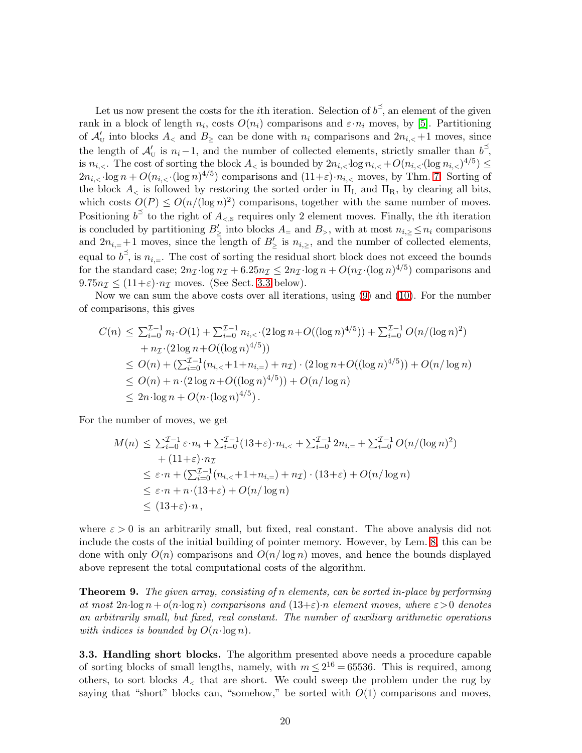Let us now present the costs for the *i*th iteration. Selection of  $b^{\le}$ , an element of the given rank in a block of length  $n_i$ , costs  $O(n_i)$  comparisons and  $\varepsilon \cdot n_i$  moves, by [\[5\]](#page-21-12). Partitioning of  $\mathcal{A}'_U$  into blocks  $A_<$  and  $B_\ge$  can be done with  $n_i$  comparisons and  $2n_{i,<}+1$  moves, since the length of  $\mathcal{A}'_U$  is  $n_i-1$ , and the number of collected elements, strictly smaller than  $b^{\preceq}$ , is  $n_{i,<}$ . The cost of sorting the block  $A_<$  is bounded by  $2n_{i,<}$ ·log  $n_{i,<}$  +  $O(n_{i,<}$ ·(log  $n_{i,<})^{4/5}$ )  $\leq$  $2n_{i,<}$ ·log  $n + O(n_{i,<} \cdot (\log n)^{4/5})$  comparisons and  $(11+\varepsilon)$ · $n_{i,<}$  moves, by Thm. [7.](#page-16-1) Sorting of the block  $A_{\leq}$  is followed by restoring the sorted order in  $\Pi_{\rm L}$  and  $\Pi_{\rm R}$ , by clearing all bits, which costs  $O(P) \le O(n/(\log n)^2)$  comparisons, together with the same number of moves. Positioning  $b^{\preceq}$  to the right of  $A_{\leq, \mathbb{S}}$  requires only 2 element moves. Finally, the *i*th iteration is concluded by partitioning  $B'_{\geq}$  into blocks  $A_{=}$  and  $B_{>}$ , with at most  $n_{i,\geq} \leq n_i$  comparisons and  $2n_{i,=}+1$  moves, since the length of  $B'_{\geq}$  is  $n_{i,\geq}$ , and the number of collected elements, equal to  $b^{\le}$ , is  $n_{i,+}$ . The cost of sorting the residual short block does not exceed the bounds for the standard case;  $2n_{\mathcal{I}} \cdot \log n_{\mathcal{I}} + 6.25n_{\mathcal{I}} \leq 2n_{\mathcal{I}} \cdot \log n + O(n_{\mathcal{I}} \cdot (\log n)^{4/5})$  comparisons and  $9.75n_{\mathcal{I}} \leq (11+\varepsilon)\cdot n_{\mathcal{I}}$  moves. (See Sect. [3.3](#page-19-0) below).

Now we can sum the above costs over all iterations, using [\(9\)](#page-18-0) and [\(10\)](#page-18-1). For the number of comparisons, this gives

$$
C(n) \leq \sum_{i=0}^{T-1} n_i \cdot O(1) + \sum_{i=0}^{T-1} n_{i, < \cdot}(2 \log n + O((\log n)^{4/5})) + \sum_{i=0}^{T-1} O(n/(\log n)^{2})
$$
  
+  $n_{\mathcal{I}} \cdot (2 \log n + O((\log n)^{4/5}))$   

$$
\leq O(n) + (\sum_{i=0}^{T-1} (n_{i, < +} 1 + n_{i, =}) + n_{\mathcal{I}}) \cdot (2 \log n + O((\log n)^{4/5})) + O(n/\log n)
$$
  

$$
\leq O(n) + n \cdot (2 \log n + O((\log n)^{4/5})) + O(n/\log n)
$$
  

$$
\leq 2n \cdot \log n + O(n \cdot (\log n)^{4/5}).
$$

For the number of moves, we get

$$
M(n) \leq \sum_{i=0}^{\mathcal{I}-1} \varepsilon \cdot n_i + \sum_{i=0}^{\mathcal{I}-1} (13+\varepsilon) \cdot n_{i,<} + \sum_{i=0}^{\mathcal{I}-1} 2n_{i,=} + \sum_{i=0}^{\mathcal{I}-1} O(n/(\log n)^2)
$$
  
+  $(11+\varepsilon) \cdot n_{\mathcal{I}}$   
 $\leq \varepsilon \cdot n + (\sum_{i=0}^{\mathcal{I}-1} (n_{i,<}+1+n_{i,=}) + n_{\mathcal{I}}) \cdot (13+\varepsilon) + O(n/\log n)$   
 $\leq \varepsilon \cdot n + n \cdot (13+\varepsilon) + O(n/\log n)$   
 $\leq (13+\varepsilon) \cdot n,$ 

where  $\varepsilon > 0$  is an arbitrarily small, but fixed, real constant. The above analysis did not include the costs of the initial building of pointer memory. However, by Lem. [8,](#page-17-0) this can be done with only  $O(n)$  comparisons and  $O(n/\log n)$  moves, and hence the bounds displayed above represent the total computational costs of the algorithm.

<span id="page-19-1"></span>**Theorem 9.** The given array, consisting of n elements, can be sorted in-place by performing at most  $2n \log n + o(n \log n)$  comparisons and  $(13+\varepsilon)n$  element moves, where  $\varepsilon > 0$  denotes an arbitrarily small, but fixed, real constant. The number of auxiliary arithmetic operations with indices is bounded by  $O(n \cdot \log n)$ .

<span id="page-19-0"></span>3.3. Handling short blocks. The algorithm presented above needs a procedure capable of sorting blocks of small lengths, namely, with  $m \leq 2^{16} = 65536$ . This is required, among others, to sort blocks  $A_{\leq}$  that are short. We could sweep the problem under the rug by saying that "short" blocks can, "somehow," be sorted with  $O(1)$  comparisons and moves,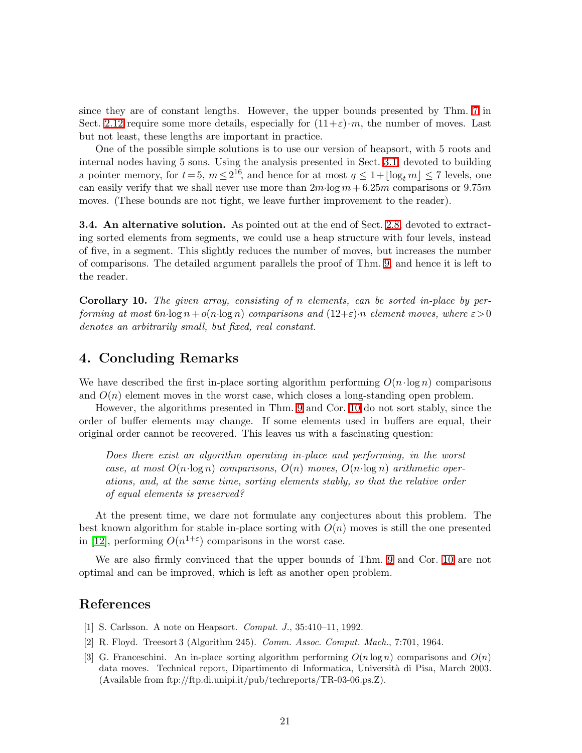since they are of constant lengths. However, the upper bounds presented by Thm. [7](#page-16-1) in Sect. [2.12](#page-16-2) require some more details, especially for  $(11+\varepsilon)\cdot m$ , the number of moves. Last but not least, these lengths are important in practice.

One of the possible simple solutions is to use our version of heapsort, with 5 roots and internal nodes having 5 sons. Using the analysis presented in Sect. [3.1,](#page-16-3) devoted to building a pointer memory, for  $t = 5$ ,  $m \le 2^{16}$ , and hence for at most  $q \le 1 + \lfloor \log_t m \rfloor \le 7$  levels, one can easily verify that we shall never use more than  $2m \log m + 6.25m$  comparisons or 9.75m moves. (These bounds are not tight, we leave further improvement to the reader).

**3.4.** An alternative solution. As pointed out at the end of Sect. [2.8,](#page-9-0) devoted to extracting sorted elements from segments, we could use a heap structure with four levels, instead of five, in a segment. This slightly reduces the number of moves, but increases the number of comparisons. The detailed argument parallels the proof of Thm. [9,](#page-19-1) and hence it is left to the reader.

<span id="page-20-3"></span>Corollary 10. The given array, consisting of n elements, can be sorted in-place by performing at most  $6n \log n + o(n \log n)$  comparisons and  $(12+\varepsilon)n$  element moves, where  $\varepsilon > 0$ denotes an arbitrarily small, but fixed, real constant.

## 4. Concluding Remarks

We have described the first in-place sorting algorithm performing  $O(n \cdot \log n)$  comparisons and  $O(n)$  element moves in the worst case, which closes a long-standing open problem.

However, the algorithms presented in Thm. [9](#page-19-1) and Cor. [10](#page-20-3) do not sort stably, since the order of buffer elements may change. If some elements used in buffers are equal, their original order cannot be recovered. This leaves us with a fascinating question:

Does there exist an algorithm operating in-place and performing, in the worst case, at most  $O(n \log n)$  comparisons,  $O(n)$  moves,  $O(n \log n)$  arithmetic operations, and, at the same time, sorting elements stably, so that the relative order of equal elements is preserved?

At the present time, we dare not formulate any conjectures about this problem. The best known algorithm for stable in-place sorting with  $O(n)$  moves is still the one presented in [\[12\]](#page-21-15), performing  $O(n^{1+\epsilon})$  comparisons in the worst case.

We are also firmly convinced that the upper bounds of Thm. [9](#page-19-1) and Cor. [10](#page-20-3) are not optimal and can be improved, which is left as another open problem.

### <span id="page-20-1"></span><span id="page-20-0"></span>References

- [1] S. Carlsson. A note on Heapsort. Comput. J., 35:410–11, 1992.
- <span id="page-20-2"></span>[2] R. Floyd. Treesort 3 (Algorithm 245). Comm. Assoc. Comput. Mach., 7:701, 1964.
- [3] G. Franceschini. An in-place sorting algorithm performing  $O(n \log n)$  comparisons and  $O(n)$ data moves. Technical report, Dipartimento di Informatica, Università di Pisa, March 2003. (Available from ftp://ftp.di.unipi.it/pub/techreports/TR-03-06.ps.Z).